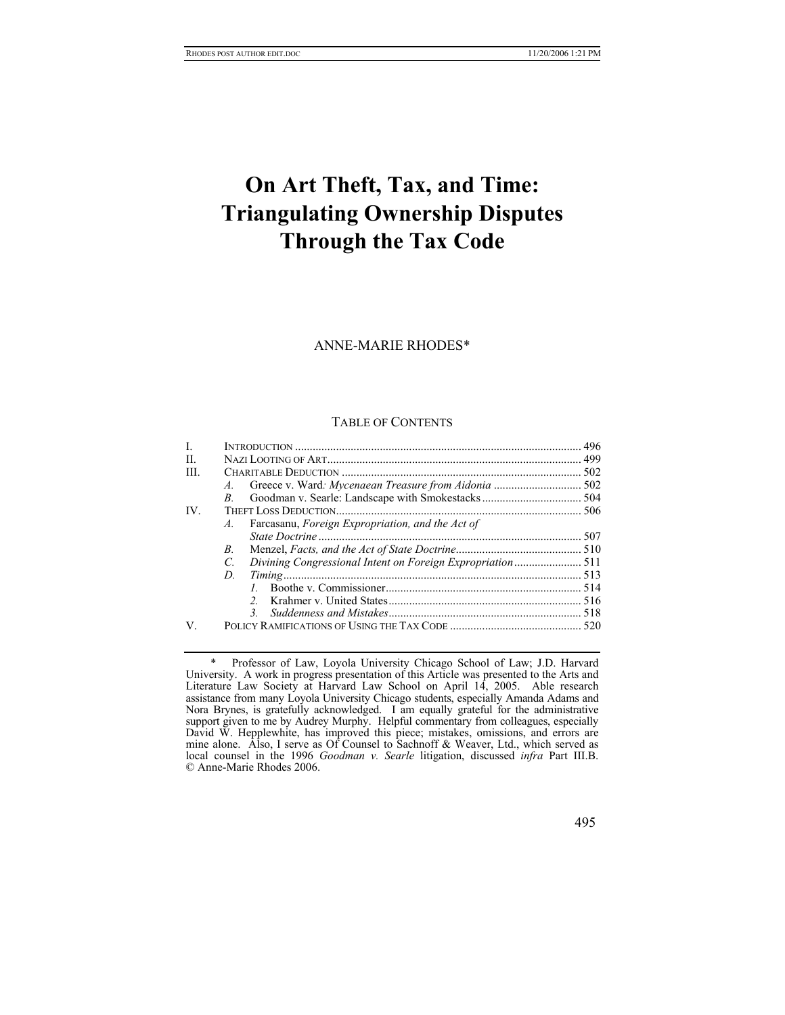# **On Art Theft, Tax, and Time: Triangulating Ownership Disputes Through the Tax Code**

ANNE-MARIE RHODES[\\*](#page-0-0) 

#### TABLE OF CONTENTS

| L   |                                                                 |  |
|-----|-----------------------------------------------------------------|--|
| H.  |                                                                 |  |
| HL. |                                                                 |  |
|     | $A_{\cdot}$                                                     |  |
|     | $B_{\cdot}$                                                     |  |
| IV. |                                                                 |  |
|     | Farcasanu, Foreign Expropriation, and the Act of<br>$A_{\cdot}$ |  |
|     |                                                                 |  |
|     | B.                                                              |  |
|     | C.                                                              |  |
|     | D.                                                              |  |
|     |                                                                 |  |
|     |                                                                 |  |
|     | $\mathcal{Z}$                                                   |  |
| V   |                                                                 |  |

<span id="page-0-0"></span> <sup>\*</sup> Professor of Law, Loyola University Chicago School of Law; J.D. Harvard University. A work in progress presentation of this Article was presented to the Arts and Literature Law Society at Harvard Law School on April 14, 2005. Able research assistance from many Loyola University Chicago students, especially Amanda Adams and Nora Brynes, is gratefully acknowledged. I am equally grateful for the administrative support given to me by Audrey Murphy. Helpful commentary from colleagues, especially David W. Hepplewhite, has improved this piece; mistakes, omissions, and errors are mine alone. Also, I serve as Of Counsel to Sachnoff & Weaver, Ltd., which served as local counsel in the 1996 *Goodman v. Searle* litigation, discussed *infra* Part III.B. © Anne-Marie Rhodes 2006.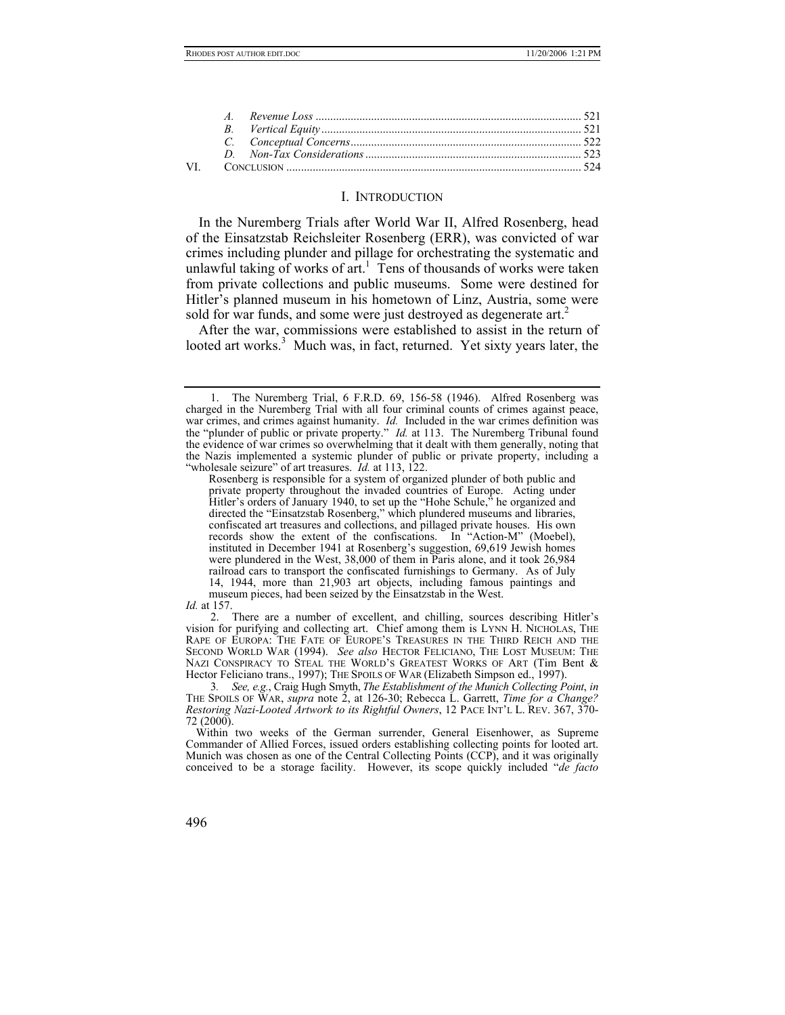#### I. INTRODUCTION

In the Nuremberg Trials after World War II, Alfred Rosenberg, head of the Einsatzstab Reichsleiter Rosenberg (ERR), was convicted of war crimes including plunder and pillage for orchestrating the systematic and unlawful taking of works of  $art<sup>1</sup>$ . Tens of thousands of works were taken from private collections and public museums. Some were destined for Hitler's planned museum in his hometown of Linz, Austria, some were sold for war funds, and some were just destroyed as degenerate art.<sup>2</sup>

After the war, commissions were established to assist in the return of looted art works.<sup>[3](#page-1-2)</sup> Much was, in fact, returned. Yet sixty years later, the

<span id="page-1-1"></span>museum pieces, had been seized by the Einsatzstab in the West.

*Id.* at 157.

2. There are a number of excellent, and chilling, sources describing Hitler's vision for purifying and collecting art. Chief among them is LYNN H. NICHOLAS, THE RAPE OF EUROPA: THE FATE OF EUROPE'S TREASURES IN THE THIRD REICH AND THE SECOND WORLD WAR (1994). *See also* HECTOR FELICIANO, THE LOST MUSEUM: THE NAZI CONSPIRACY TO STEAL THE WORLD'S GREATEST WORKS OF ART (Tim Bent & Hector Feliciano trans., 1997); THE SPOILS OF WAR (Elizabeth Simpson ed., 1997).

<span id="page-1-2"></span>3*. See, e.g.*, Craig Hugh Smyth, *The Establishment of the Munich Collecting Point*, *in* THE SPOILS OF WAR, *supra* note 2, at 126-30; Rebecca L. Garrett, *Time for a Change? Restoring Nazi-Looted Artwork to its Rightful Owners*, 12 PACE INT'L L. REV. 367, 370-  $72 (2000)$ .

Within two weeks of the German surrender, General Eisenhower, as Supreme Commander of Allied Forces, issued orders establishing collecting points for looted art. Munich was chosen as one of the Central Collecting Points (CCP), and it was originally conceived to be a storage facility. However, its scope quickly included "*de facto*

<span id="page-1-0"></span>The Nuremberg Trial, 6 F.R.D. 69, 156-58 (1946). Alfred Rosenberg was charged in the Nuremberg Trial with all four criminal counts of crimes against peace, war crimes, and crimes against humanity. *Id.* Included in the war crimes definition was the "plunder of public or private property." *Id.* at 113. The Nuremberg Tribunal found the evidence of war crimes so overwhelming that it dealt with them generally, noting that the Nazis implemented a systemic plunder of public or private property, including a "wholesale seizure" of art treasures. *Id.* at 113, 122.

Rosenberg is responsible for a system of organized plunder of both public and private property throughout the invaded countries of Europe. Acting under Hitler's orders of January 1940, to set up the "Hohe Schule," he organized and directed the "Einsatzstab Rosenberg," which plundered museums and libraries, confiscated art treasures and collections, and pillaged private houses. His own records show the extent of the confiscations. In "Action-M" (Moebel), instituted in December 1941 at Rosenberg's suggestion, 69,619 Jewish homes were plundered in the West, 38,000 of them in Paris alone, and it took 26,984 railroad cars to transport the confiscated furnishings to Germany. As of July 14, 1944, more than 21,903 art objects, including famous paintings and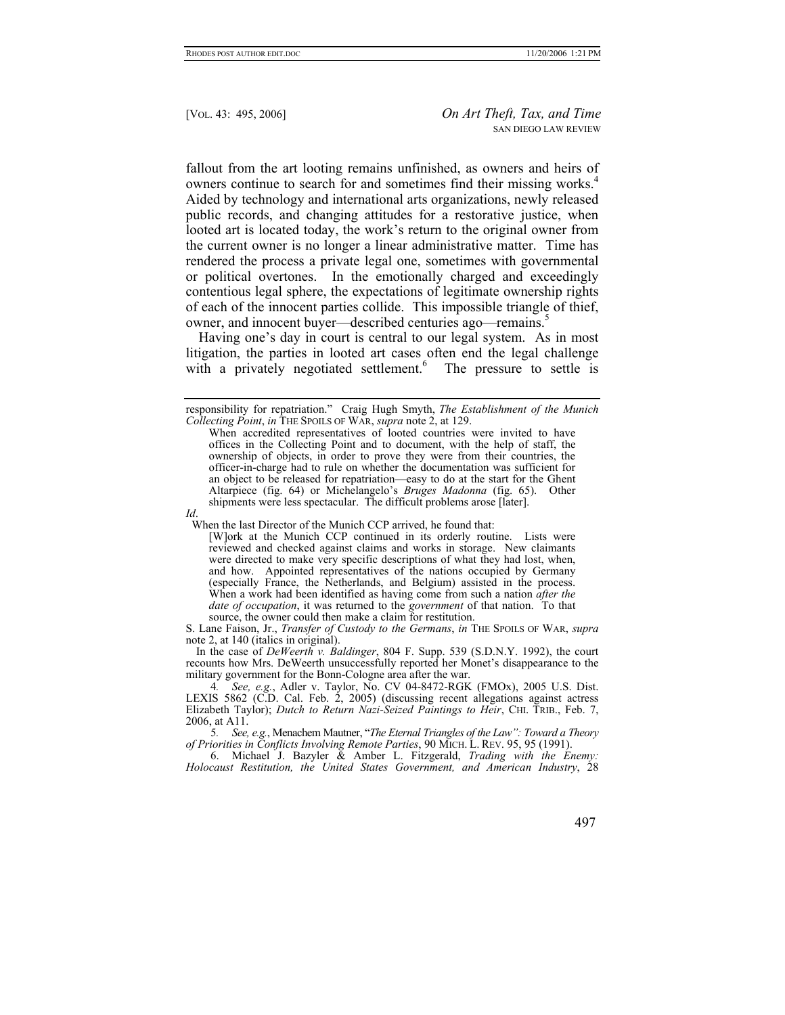fallout from the art looting remains unfinished, as owners and heirs of owners continue to search for and sometimes find their missing works[.4](#page-2-0) Aided by technology and international arts organizations, newly released public records, and changing attitudes for a restorative justice, when looted art is located today, the work's return to the original owner from the current owner is no longer a linear administrative matter. Time has rendered the process a private legal one, sometimes with governmental or political overtones. In the emotionally charged and exceedingly contentious legal sphere, the expectations of legitimate ownership rights of each of the innocent parties collide. This impossible triangle of thief, owner, and innocent buyer—described centuries ago—remains.<sup>3</sup>

Having one's day in court is central to our legal system. As in most litigation, the parties in looted art cases often end the legal challenge with a privately negotiated settlement.<sup>6</sup> The pressure to settle is

*Id*.

When the last Director of the Munich CCP arrived, he found that:

[W]ork at the Munich CCP continued in its orderly routine. Lists were reviewed and checked against claims and works in storage. New claimants were directed to make very specific descriptions of what they had lost, when, and how. Appointed representatives of the nations occupied by Germany (especially France, the Netherlands, and Belgium) assisted in the process. When a work had been identified as having come from such a nation *after the date of occupation*, it was returned to the *government* of that nation. To that source, the owner could then make a claim for restitution.

S. Lane Faison, Jr., *Transfer of Custody to the Germans*, *in* THE SPOILS OF WAR, *supra* note 2, at 140 (italics in original).

In the case of *DeWeerth v. Baldinger*, 804 F. Supp. 539 (S.D.N.Y. 1992), the court recounts how Mrs. DeWeerth unsuccessfully reported her Monet's disappearance to the military government for the Bonn-Cologne area after the war.

<span id="page-2-0"></span>4*. See, e.g.*, Adler v. Taylor, No. CV 04-8472-RGK (FMOx), 2005 U.S. Dist. LEXIS 5862 (C.D. Cal. Feb. 2, 2005) (discussing recent allegations against actress Elizabeth Taylor); *Dutch to Return Nazi-Seized Paintings to Heir*, CHI. TRIB., Feb. 7, 2006, at A11.

<span id="page-2-1"></span>5*. See, e.g.*, Menachem Mautner, "*The Eternal Triangles of the Law": Toward a Theory of Priorities in Conflicts Involving Remote Parties*, 90 MICH. L. REV. 95, 95 (1991).

<span id="page-2-2"></span>6. Michael J. Bazyler & Amber L. Fitzgerald, *Trading with the Enemy: Holocaust Restitution, the United States Government, and American Industry*, 28

responsibility for repatriation." Craig Hugh Smyth, *The Establishment of the Munich Collecting Point*, *in* THE SPOILS OF WAR, *supra* note 2, at 129.

When accredited representatives of looted countries were invited to have offices in the Collecting Point and to document, with the help of staff, the ownership of objects, in order to prove they were from their countries, the officer-in-charge had to rule on whether the documentation was sufficient for an object to be released for repatriation—easy to do at the start for the Ghent Altarpiece (fig. 64) or Michelangelo's *Bruges Madonna* (fig. 65). Other shipments were less spectacular. The difficult problems arose [later].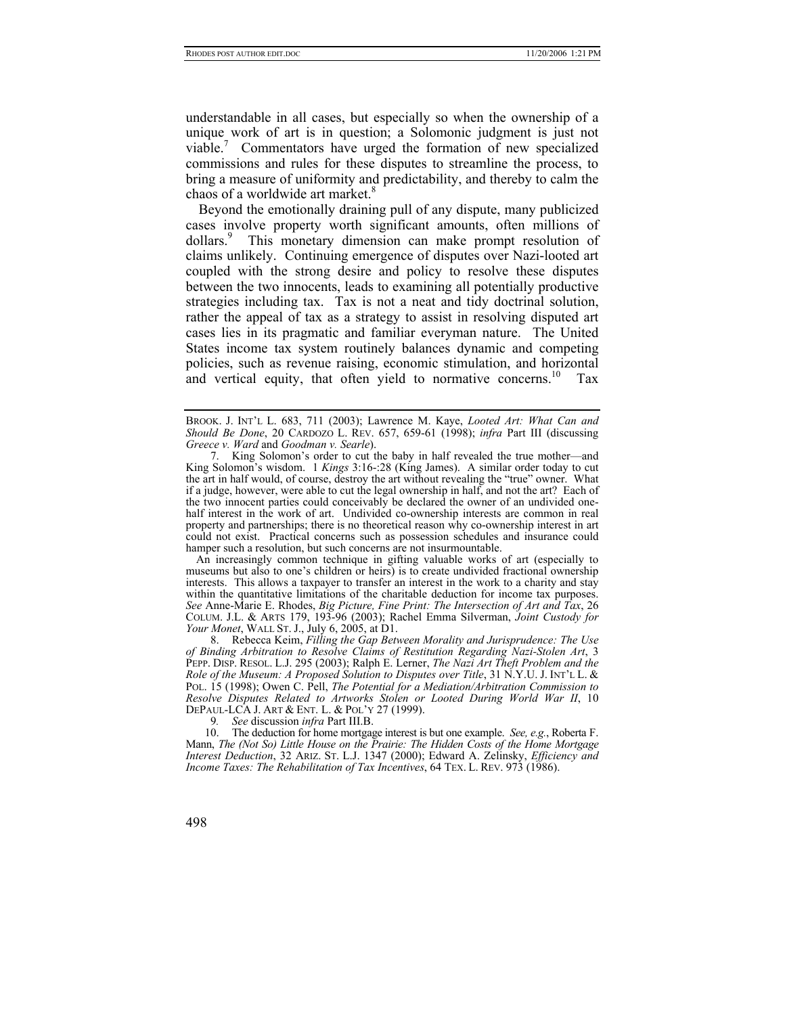understandable in all cases, but especially so when the ownership of a unique work of art is in question; a Solomonic judgment is just not viable.<sup>7</sup> Commentators have urged the formation of new specialized commissions and rules for these disputes to streamline the process, to bring a measure of uniformity and predictability, and thereby to calm the chaos of a worldwide art market.<sup>[8](#page-3-1)</sup>

Beyond the emotionally draining pull of any dispute, many publicized cases involve property worth significant amounts, often millions of dollars.<sup>9</sup>This monetary dimension can make prompt resolution of claims unlikely. Continuing emergence of disputes over Nazi-looted art coupled with the strong desire and policy to resolve these disputes between the two innocents, leads to examining all potentially productive strategies including tax. Tax is not a neat and tidy doctrinal solution, rather the appeal of tax as a strategy to assist in resolving disputed art cases lies in its pragmatic and familiar everyman nature. The United States income tax system routinely balances dynamic and competing policies, such as revenue raising, economic stimulation, and horizontal and vertical equity, that often yield to normative concerns.<sup>10</sup> Tax

An increasingly common technique in gifting valuable works of art (especially to museums but also to one's children or heirs) is to create undivided fractional ownership interests. This allows a taxpayer to transfer an interest in the work to a charity and stay within the quantitative limitations of the charitable deduction for income tax purposes. *See* Anne-Marie E. Rhodes, *Big Picture, Fine Print: The Intersection of Art and Tax*, 26 COLUM. J.L. & ARTS 179, 193-96 (2003); Rachel Emma Silverman, *Joint Custody for Your Monet*, WALL ST. J., July 6, 2005, at D1.

<span id="page-3-1"></span>8. Rebecca Keim, *Filling the Gap Between Morality and Jurisprudence: The Use of Binding Arbitration to Resolve Claims of Restitution Regarding Nazi-Stolen Art*, 3 PEPP. DISP. RESOL. L.J. 295 (2003); Ralph E. Lerner, *The Nazi Art Theft Problem and the Role of the Museum: A Proposed Solution to Disputes over Title*, 31 N.Y.U. J. INT'L L. & POL. 15 (1998); Owen C. Pell, *The Potential for a Mediation/Arbitration Commission to Resolve Disputes Related to Artworks Stolen or Looted During World War II*, 10 DEPAUL-LCA J. ART & ENT. L. & POL'Y 27 (1999).

<span id="page-3-3"></span><span id="page-3-2"></span>9*. See* discussion *infra* Part III.B.

10. The deduction for home mortgage interest is but one example. *See, e.g.*, Roberta F. Mann, *The (Not So) Little House on the Prairie: The Hidden Costs of the Home Mortgage Interest Deduction*, 32 ARIZ. ST. L.J. 1347 (2000); Edward A. Zelinsky, *Efficiency and Income Taxes: The Rehabilitation of Tax Incentives*, 64 TEX. L. REV. 973 (1986).

BROOK. J. INT'L L. 683, 711 (2003); Lawrence M. Kaye, *Looted Art: What Can and Should Be Done*, 20 CARDOZO L. REV. 657, 659-61 (1998); *infra* Part III (discussing *Greece v. Ward* and *Goodman v. Searle*).

<span id="page-3-0"></span><sup>7.</sup> King Solomon's order to cut the baby in half revealed the true mother—and King Solomon's wisdom. 1 *Kings* 3:16-:28 (King James). A similar order today to cut the art in half would, of course, destroy the art without revealing the "true" owner. What if a judge, however, were able to cut the legal ownership in half, and not the art? Each of the two innocent parties could conceivably be declared the owner of an undivided onehalf interest in the work of art. Undivided co-ownership interests are common in real property and partnerships; there is no theoretical reason why co-ownership interest in art could not exist. Practical concerns such as possession schedules and insurance could hamper such a resolution, but such concerns are not insurmountable.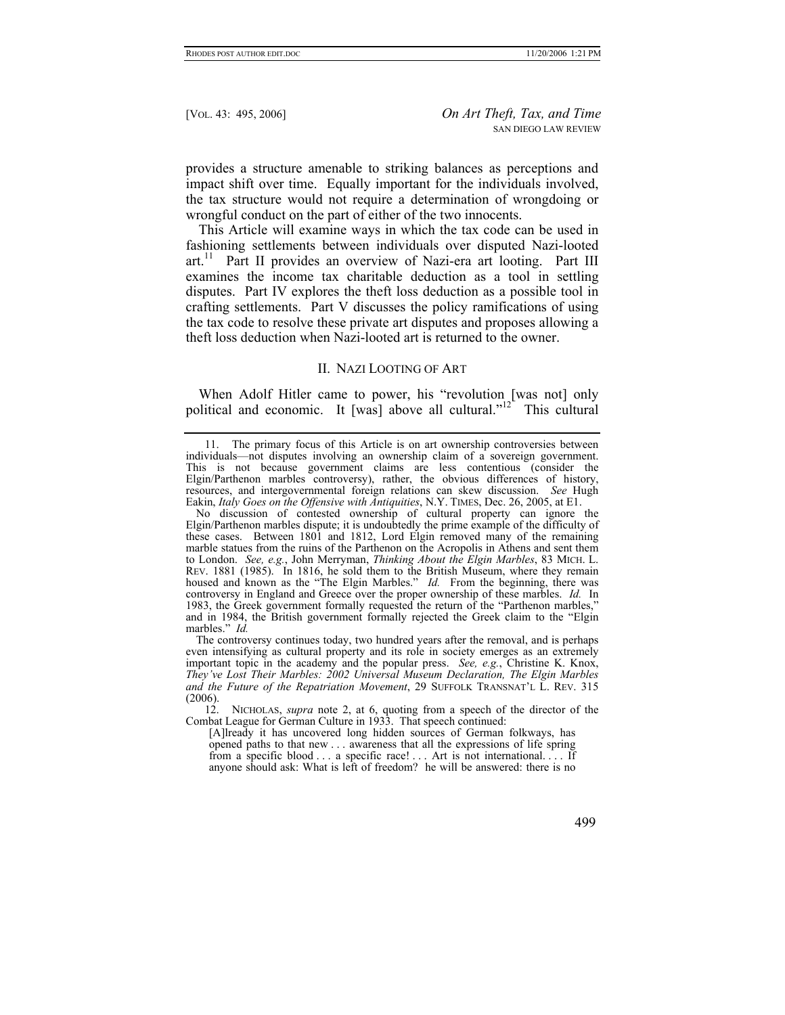provides a structure amenable to striking balances as perceptions and impact shift over time. Equally important for the individuals involved, the tax structure would not require a determination of wrongdoing or wrongful conduct on the part of either of the two innocents.

This Article will examine ways in which the tax code can be used in fashioning settlements between individuals over disputed Nazi-looted art.<sup>11</sup> Part II provides an overview of Nazi-era art looting. Part III examines the income tax charitable deduction as a tool in settling disputes. Part IV explores the theft loss deduction as a possible tool in crafting settlements. Part V discusses the policy ramifications of using the tax code to resolve these private art disputes and proposes allowing a theft loss deduction when Nazi-looted art is returned to the owner.

#### II. NAZI LOOTING OF ART

When Adolf Hitler came to power, his "revolution [was not] only political and economic. It [was] above all cultural."<sup>12</sup> This cultural

The controversy continues today, two hundred years after the removal, and is perhaps even intensifying as cultural property and its role in society emerges as an extremely important topic in the academy and the popular press. *See, e.g.*, Christine K. Knox, *They've Lost Their Marbles: 2002 Universal Museum Declaration, The Elgin Marbles and the Future of the Repatriation Movement*, 29 SUFFOLK TRANSNAT'L L. REV. 315 (2006).

<span id="page-4-1"></span>12. NICHOLAS, *supra* note 2, at 6, quoting from a speech of the director of the Combat League for German Culture in 1933. That speech continued:

<span id="page-4-0"></span><sup>11.</sup> The primary focus of this Article is on art ownership controversies between individuals—not disputes involving an ownership claim of a sovereign government. This is not because government claims are less contentious (consider the Elgin/Parthenon marbles controversy), rather, the obvious differences of history, resources, and intergovernmental foreign relations can skew discussion. *See* Hugh Eakin, *Italy Goes on the Offensive with Antiquities*, N.Y. TIMES, Dec. 26, 2005, at E1.

No discussion of contested ownership of cultural property can ignore the Elgin/Parthenon marbles dispute; it is undoubtedly the prime example of the difficulty of these cases. Between 1801 and 1812, Lord Elgin removed many of the remaining marble statues from the ruins of the Parthenon on the Acropolis in Athens and sent them to London. *See, e.g.*, John Merryman, *Thinking About the Elgin Marbles*, 83 MICH. L. REV. 1881 (1985). In 1816, he sold them to the British Museum, where they remain housed and known as the "The Elgin Marbles." *Id.* From the beginning, there was controversy in England and Greece over the proper ownership of these marbles. *Id.* In 1983, the Greek government formally requested the return of the "Parthenon marbles," and in 1984, the British government formally rejected the Greek claim to the "Elgin marbles." *Id.*

<sup>[</sup>A]lready it has uncovered long hidden sources of German folkways, has opened paths to that new . . . awareness that all the expressions of life spring from a specific blood . . . a specific race! . . . Art is not international. . . . If anyone should ask: What is left of freedom? he will be answered: there is no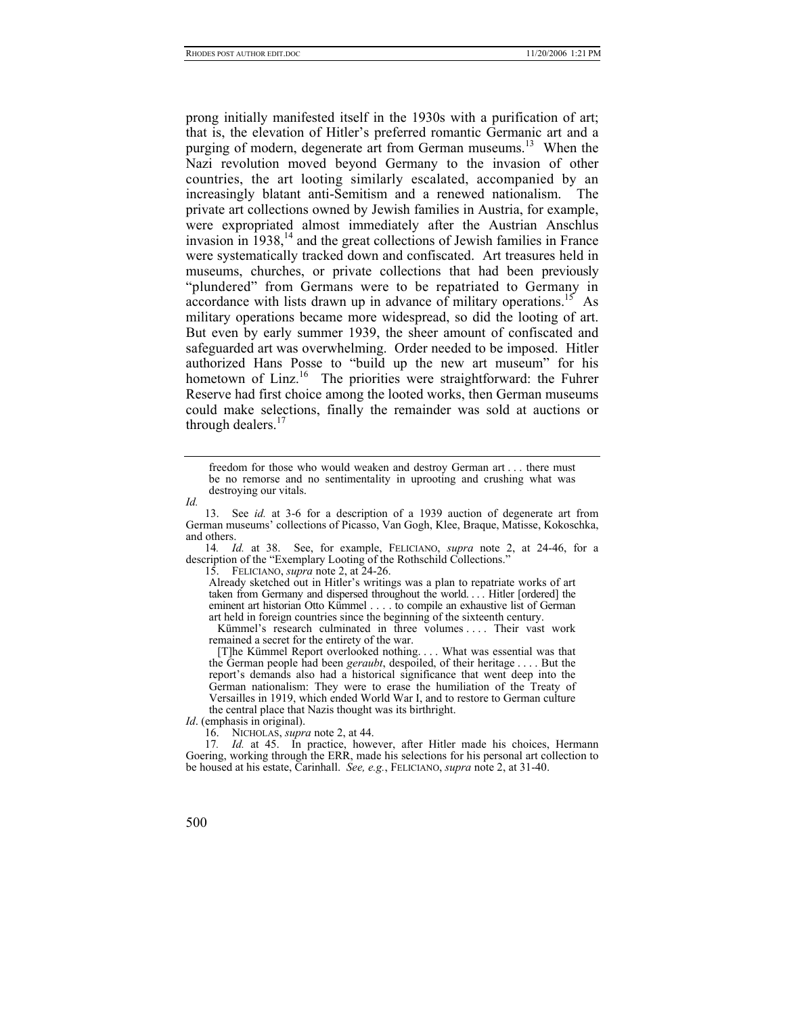prong initially manifested itself in the 1930s with a purification of art; that is, the elevation of Hitler's preferred romantic Germanic art and a purging of modern, degenerate art from German museums.<sup>13</sup> When the Nazi revolution moved beyond Germany to the invasion of other countries, the art looting similarly escalated, accompanied by an increasingly blatant anti-Semitism and a renewed nationalism. The private art collections owned by Jewish families in Austria, for example, were expropriated almost immediately after the Austrian Anschlus invasion in  $1938$ ,<sup>14</sup> and the great collections of Jewish families in France were systematically tracked down and confiscated. Art treasures held in museums, churches, or private collections that had been previously "plundered" from Germans were to be repatriated to Germany in accordance with lists drawn up in advance of military operations.<sup>15</sup> As military operations became more widespread, so did the looting of art. But even by early summer 1939, the sheer amount of confiscated and safeguarded art was overwhelming. Order needed to be imposed. Hitler authorized Hans Posse to "build up the new art museum" for his hometown of Linz.<sup>16</sup> The priorities were straightforward: the Fuhrer Reserve had first choice among the looted works, then German museums could make selections, finally the remainder was sold at auctions or through dealers.<sup>[17](#page-5-4)</sup>

<span id="page-5-1"></span>14*. Id.* at 38. See, for example, FELICIANO, *supra* note 2, at 24-46, for a description of the "Exemplary Looting of the Rothschild Collections."

<span id="page-5-2"></span>15. FELICIANO, *supra* note 2, at 24-26.

Already sketched out in Hitler's writings was a plan to repatriate works of art taken from Germany and dispersed throughout the world. . . . Hitler [ordered] the eminent art historian Otto Kümmel . . . . to compile an exhaustive list of German art held in foreign countries since the beginning of the sixteenth century.

 Kümmel's research culminated in three volumes . . . . Their vast work remained a secret for the entirety of the war.

 [T]he Kümmel Report overlooked nothing. . . . What was essential was that the German people had been *geraubt*, despoiled, of their heritage . . . . But the report's demands also had a historical significance that went deep into the German nationalism: They were to erase the humiliation of the Treaty of Versailles in 1919, which ended World War I, and to restore to German culture the central place that Nazis thought was its birthright.

*Id.* (emphasis in original).

<span id="page-5-4"></span><span id="page-5-3"></span>16. NICHOLAS, *supra* note 2, at 44.

freedom for those who would weaken and destroy German art . . . there must be no remorse and no sentimentality in uprooting and crushing what was destroying our vitals.

*Id.*

<span id="page-5-0"></span><sup>13.</sup> See *id.* at 3-6 for a description of a 1939 auction of degenerate art from German museums' collections of Picasso, Van Gogh, Klee, Braque, Matisse, Kokoschka, and others.

<sup>17</sup>*. Id.* at 45. In practice, however, after Hitler made his choices, Hermann Goering, working through the ERR, made his selections for his personal art collection to be housed at his estate, Carinhall. *See, e.g.*, FELICIANO, *supra* note 2, at 31-40.

<sup>500</sup>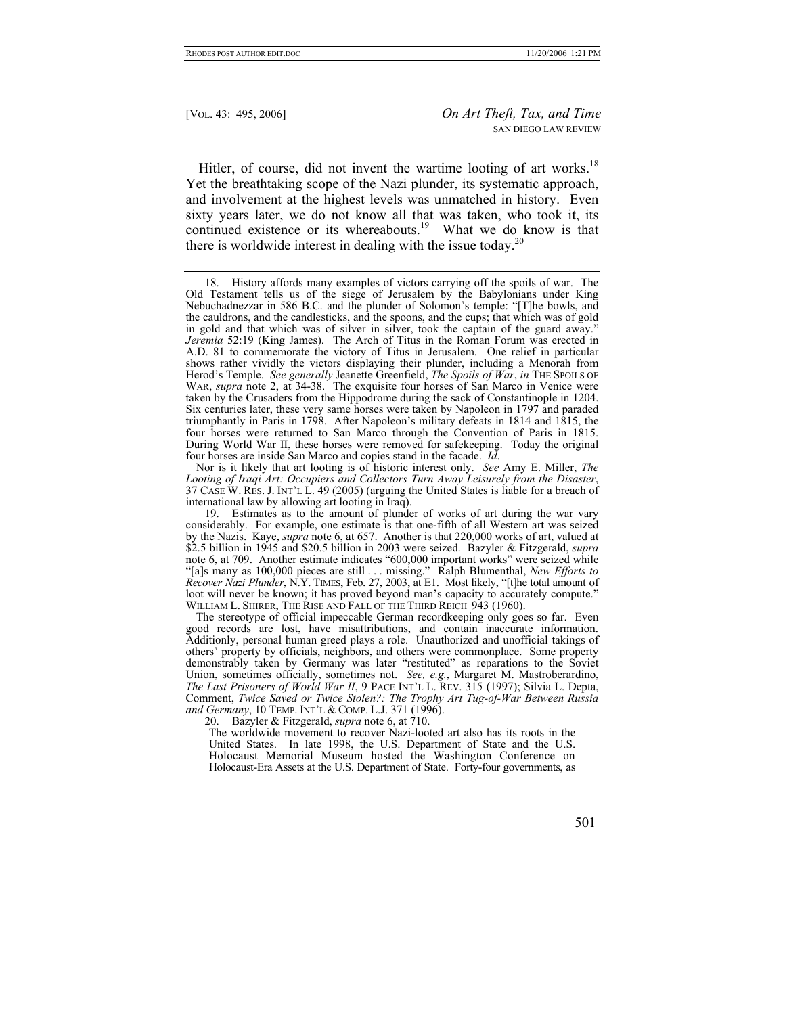Hitler, of course, did not invent the wartime looting of art works.<sup>18</sup> Yet the breathtaking scope of the Nazi plunder, its systematic approach, and involvement at the highest levels was unmatched in history. Even sixty years later, we do not know all that was taken, who took it, its continued existence or its whereabouts.<sup>19</sup> What we do know is that there is worldwide interest in dealing with the issue today.<sup>20</sup>

Nor is it likely that art looting is of historic interest only. *See* Amy E. Miller, *The Looting of Iraqi Art: Occupiers and Collectors Turn Away Leisurely from the Disaster*, 37 CASE W. RES. J. INT'L L. 49 (2005) (arguing the United States is liable for a breach of international law by allowing art looting in Iraq).

<span id="page-6-1"></span>19. Estimates as to the amount of plunder of works of art during the war vary considerably. For example, one estimate is that one-fifth of all Western art was seized by the Nazis. Kaye, *supra* note 6, at 657. Another is that 220,000 works of art, valued at \$2.5 billion in 1945 and \$20.5 billion in 2003 were seized. Bazyler & Fitzgerald, *supra* note 6, at 709. Another estimate indicates "600,000 important works" were seized while "[a]s many as 100,000 pieces are still . . . missing." Ralph Blumenthal, *New Efforts to Recover Nazi Plunder*, N.Y. TIMES, Feb. 27, 2003, at E1. Most likely, "[t]he total amount of loot will never be known; it has proved beyond man's capacity to accurately compute." WILLIAM L. SHIRER, THE RISE AND FALL OF THE THIRD REICH 943 (1960).

The stereotype of official impeccable German recordkeeping only goes so far. Even good records are lost, have misattributions, and contain inaccurate information. Additionly, personal human greed plays a role. Unauthorized and unofficial takings of others' property by officials, neighbors, and others were commonplace. Some property demonstrably taken by Germany was later "restituted" as reparations to the Soviet Union, sometimes officially, sometimes not. *See, e.g.*, Margaret M. Mastroberardino, *The Last Prisoners of World War II*, 9 PACE INT'L L. REV. 315 (1997); Silvia L. Depta, Comment, *Twice Saved or Twice Stolen?: The Trophy Art Tug-of-War Between Russia and Germany*, 10 TEMP. INT'L & COMP. L.J. 371 (1996).

<span id="page-6-2"></span>20. Bazyler & Fitzgerald, *supra* note 6, at 710.

The worldwide movement to recover Nazi-looted art also has its roots in the United States. In late 1998, the U.S. Department of State and the U.S. Holocaust Memorial Museum hosted the Washington Conference on Holocaust-Era Assets at the U.S. Department of State. Forty-four governments, as

<span id="page-6-0"></span><sup>18.</sup> History affords many examples of victors carrying off the spoils of war. The Old Testament tells us of the siege of Jerusalem by the Babylonians under King Nebuchadnezzar in 586 B.C. and the plunder of Solomon's temple: "[T]he bowls, and the cauldrons, and the candlesticks, and the spoons, and the cups; that which was of gold in gold and that which was of silver in silver, took the captain of the guard away." *Jeremia* 52:19 (King James). The Arch of Titus in the Roman Forum was erected in A.D. 81 to commemorate the victory of Titus in Jerusalem. One relief in particular shows rather vividly the victors displaying their plunder, including a Menorah from Herod's Temple. *See generally* Jeanette Greenfield, *The Spoils of War*, *in* THE SPOILS OF WAR, *supra* note 2, at 34-38. The exquisite four horses of San Marco in Venice were taken by the Crusaders from the Hippodrome during the sack of Constantinople in 1204. Six centuries later, these very same horses were taken by Napoleon in 1797 and paraded triumphantly in Paris in 1798. After Napoleon's military defeats in 1814 and 1815, the four horses were returned to San Marco through the Convention of Paris in 1815. During World War II, these horses were removed for safekeeping. Today the original four horses are inside San Marco and copies stand in the facade. *Id*.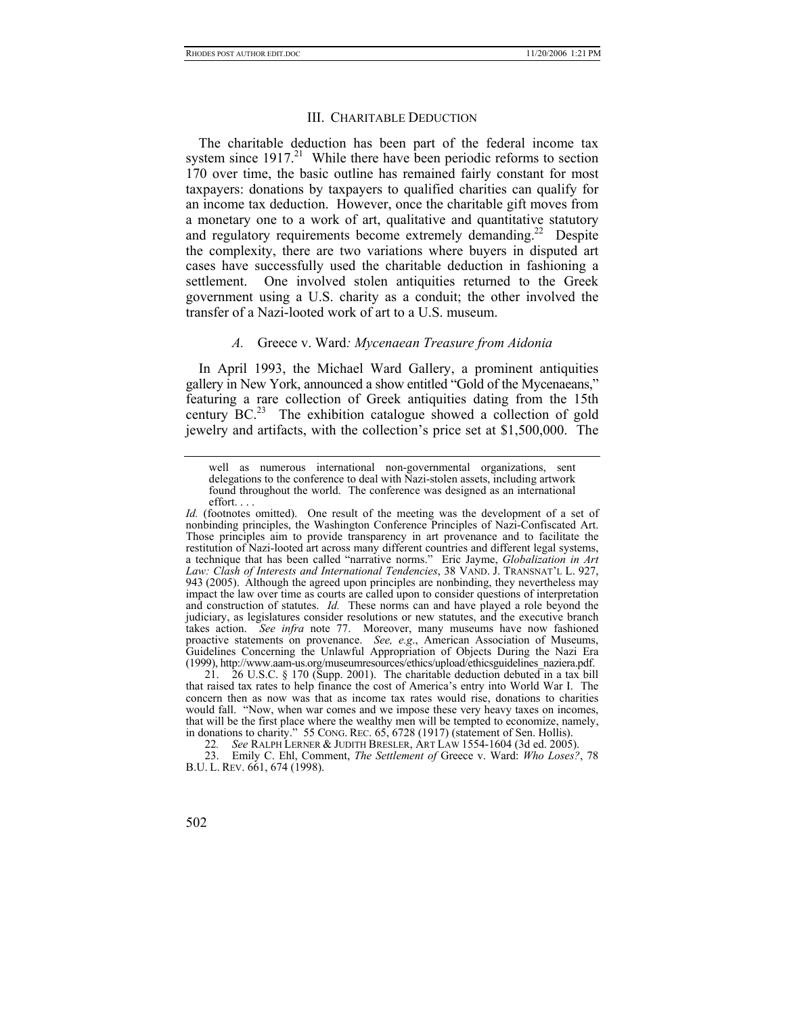#### III. CHARITABLE DEDUCTION

The charitable deduction has been part of the federal income tax system since  $1917<sup>21</sup>$  While there have been periodic reforms to section 170 over time, the basic outline has remained fairly constant for most taxpayers: donations by taxpayers to qualified charities can qualify for an income tax deduction. However, once the charitable gift moves from a monetary one to a work of art, qualitative and quantitative statutory and regulatory requirements become extremely demanding.<sup>22</sup> Despite the complexity, there are two variations where buyers in disputed art cases have successfully used the charitable deduction in fashioning a settlement. One involved stolen antiquities returned to the Greek government using a U.S. charity as a conduit; the other involved the transfer of a Nazi-looted work of art to a U.S. museum.

#### *A.* Greece v. Ward*: Mycenaean Treasure from Aidonia*

In April 1993, the Michael Ward Gallery, a prominent antiquities gallery in New York, announced a show entitled "Gold of the Mycenaeans," featuring a rare collection of Greek antiquities dating from the 15th century  $BC<sup>23</sup>$  The exhibition catalogue showed a collection of gold jewelry and artifacts, with the collection's price set at \$1,500,000. The

<span id="page-7-0"></span>21. 26 U.S.C. § 170 (Supp. 2001). The charitable deduction debuted in a tax bill that raised tax rates to help finance the cost of America's entry into World War I. The concern then as now was that as income tax rates would rise, donations to charities would fall. "Now, when war comes and we impose these very heavy taxes on incomes, that will be the first place where the wealthy men will be tempted to economize, namely, in donations to charity." 55 CONG. REC. 65, 6728 (1917) (statement of Sen. Hollis).

well as numerous international non-governmental organizations, sent delegations to the conference to deal with Nazi-stolen assets, including artwork found throughout the world. The conference was designed as an international effort. . . .

*Id.* (footnotes omitted). One result of the meeting was the development of a set of nonbinding principles, the Washington Conference Principles of Nazi-Confiscated Art. Those principles aim to provide transparency in art provenance and to facilitate the restitution of Nazi-looted art across many different countries and different legal systems, a technique that has been called "narrative norms." Eric Jayme, *Globalization in Art Law: Clash of Interests and International Tendencies*, 38 VAND. J. TRANSNAT'L L. 927, 943 (2005). Although the agreed upon principles are nonbinding, they nevertheless may impact the law over time as courts are called upon to consider questions of interpretation and construction of statutes. *Id.* These norms can and have played a role beyond the judiciary, as legislatures consider resolutions or new statutes, and the executive branch takes action. *See infra* note 77. Moreover, many museums have now fashioned proactive statements on provenance. *See, e.g*., American Association of Museums, Guidelines Concerning the Unlawful Appropriation of Objects During the Nazi Era (1999), http://www.aam-us.org/museumresources/ethics/upload/ethicsguidelines\_naziera.pdf.

<span id="page-7-2"></span><span id="page-7-1"></span><sup>22</sup>*. See* RALPH LERNER & JUDITH BRESLER, ART LAW 1554-1604 (3d ed. 2005).

<sup>23.</sup> Emily C. Ehl, Comment, *The Settlement of* Greece v. Ward: *Who Loses?*, 78 B.U. L. REV. 661, 674 (1998).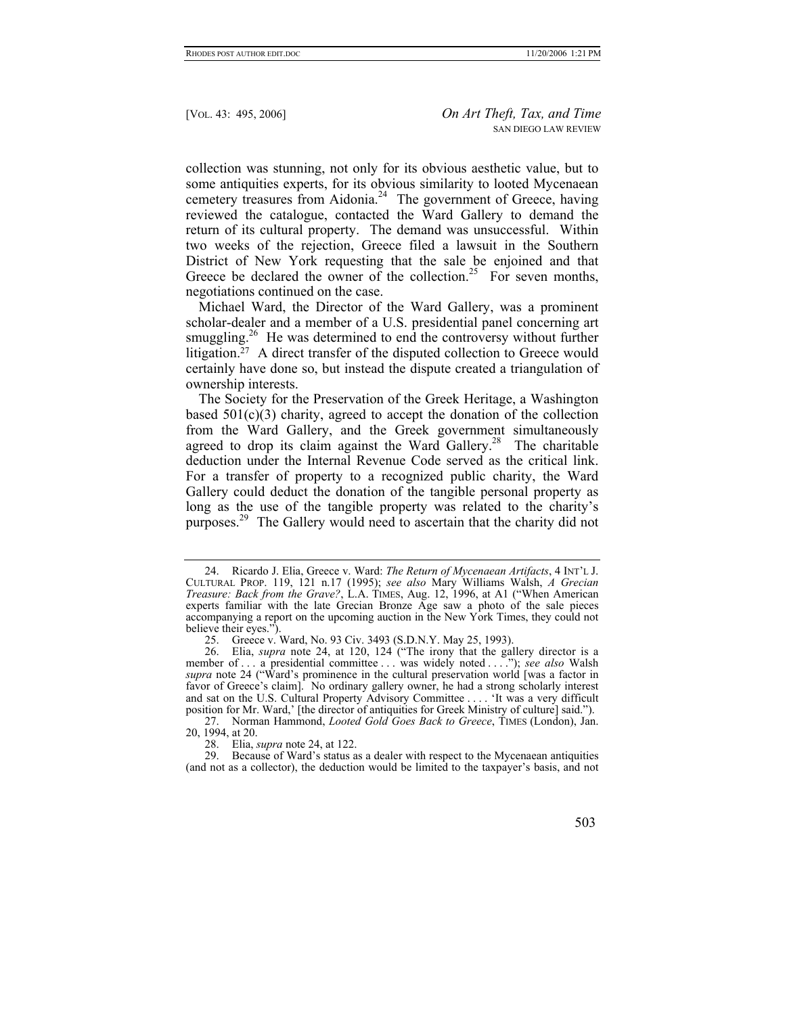collection was stunning, not only for its obvious aesthetic value, but to some antiquities experts, for its obvious similarity to looted Mycenaean cemetery treasures from Aidonia.<sup>24</sup> The government of Greece, having reviewed the catalogue, contacted the Ward Gallery to demand the return of its cultural property. The demand was unsuccessful. Within two weeks of the rejection, Greece filed a lawsuit in the Southern District of New York requesting that the sale be enjoined and that Greece be declared the owner of the collection.<sup>25</sup> For seven months, negotiations continued on the case.

Michael Ward, the Director of the Ward Gallery, was a prominent scholar-dealer and a member of a U.S. presidential panel concerning art smuggling.<sup>26</sup> He was determined to end the controversy without further litigation.<sup>27</sup> A direct transfer of the disputed collection to Greece would certainly have done so, but instead the dispute created a triangulation of ownership interests.

The Society for the Preservation of the Greek Heritage, a Washington based  $501(c)(3)$  charity, agreed to accept the donation of the collection from the Ward Gallery, and the Greek government simultaneously agreed to drop its claim against the Ward Gallery.<sup>28</sup> The charitable deduction under the Internal Revenue Code served as the critical link. For a transfer of property to a recognized public charity, the Ward Gallery could deduct the donation of the tangible personal property as long as the use of the tangible property was related to the charity's purposes.[29](#page-8-5) The Gallery would need to ascertain that the charity did not

<span id="page-8-3"></span>27. Norman Hammond, *Looted Gold Goes Back to Greece*, TIMES (London), Jan. 20, 1994, at 20.

<span id="page-8-5"></span><span id="page-8-4"></span>28. Elia, *supra* note 24, at 122.

<sup>29.</sup> Because of Ward's status as a dealer with respect to the Mycenaean antiquities (and not as a collector), the deduction would be limited to the taxpayer's basis, and not



<span id="page-8-0"></span><sup>24.</sup> Ricardo J. Elia, Greece v. Ward: *The Return of Mycenaean Artifacts*, 4 INT'L J. CULTURAL PROP. 119, 121 n.17 (1995); *see also* Mary Williams Walsh, *A Grecian Treasure: Back from the Grave?*, L.A. TIMES, Aug. 12, 1996, at A1 ("When American experts familiar with the late Grecian Bronze Age saw a photo of the sale pieces accompanying a report on the upcoming auction in the New York Times, they could not believe their eyes.").

<span id="page-8-2"></span><span id="page-8-1"></span><sup>25.</sup> Greece v. Ward, No. 93 Civ. 3493 (S.D.N.Y. May 25, 1993).

<sup>26.</sup> Elia, *supra* note 24, at 120, 124 ("The irony that the gallery director is a member of . . . a presidential committee . . . was widely noted . . . ."); *see also* Walsh *supra* note 24 ("Ward's prominence in the cultural preservation world [was a factor in favor of Greece's claim]. No ordinary gallery owner, he had a strong scholarly interest and sat on the U.S. Cultural Property Advisory Committee . . . . 'It was a very difficult position for Mr. Ward,' [the director of antiquities for Greek Ministry of culture] said.").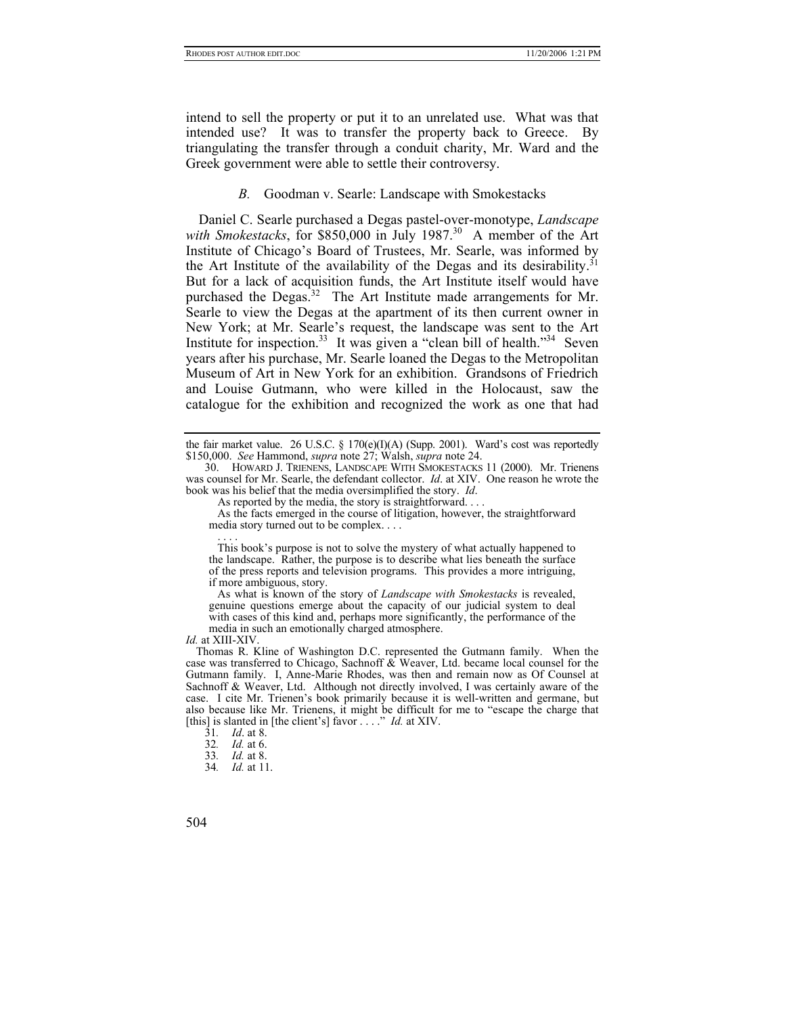intend to sell the property or put it to an unrelated use. What was that intended use? It was to transfer the property back to Greece. By triangulating the transfer through a conduit charity, Mr. Ward and the Greek government were able to settle their controversy.

#### *B.* Goodman v. Searle: Landscape with Smokestacks

Daniel C. Searle purchased a Degas pastel-over-monotype, *Landscape*  with Smokestacks, for \$850,000 in July 1987.<sup>30</sup> A member of the Art Institute of Chicago's Board of Trustees, Mr. Searle, was informed by the Art Institute of the availability of the Degas and its desirability.<sup>31</sup> But for a lack of acquisition funds, the Art Institute itself would have purchased the Degas.<sup>32</sup> The Art Institute made arrangements for Mr. Searle to view the Degas at the apartment of its then current owner in New York; at Mr. Searle's request, the landscape was sent to the Art Institute for inspection.<sup>33</sup> It was given a "clean bill of health."<sup>34</sup> Seven years after his purchase, Mr. Searle loaned the Degas to the Metropolitan Museum of Art in New York for an exhibition. Grandsons of Friedrich and Louise Gutmann, who were killed in the Holocaust, saw the catalogue for the exhibition and recognized the work as one that had

 As what is known of the story of *Landscape with Smokestacks* is revealed, genuine questions emerge about the capacity of our judicial system to deal with cases of this kind and, perhaps more significantly, the performance of the media in such an emotionally charged atmosphere.

#### *Id.* at XIII-XIV.

the fair market value. 26 U.S.C. § 170(e)(I)(A) (Supp. 2001). Ward's cost was reportedly \$150,000. *See* Hammond, *supra* note 27; Walsh, *supra* note 24.

<span id="page-9-0"></span><sup>30.</sup> HOWARD J. TRIENENS, LANDSCAPE WITH SMOKESTACKS 11 (2000). Mr. Trienens was counsel for Mr. Searle, the defendant collector. *Id*. at XIV. One reason he wrote the book was his belief that the media oversimplified the story. *Id*.

As reported by the media, the story is straightforward. . . .

As the facts emerged in the course of litigation, however, the straightforward media story turned out to be complex. . . . . . . .

This book's purpose is not to solve the mystery of what actually happened to the landscape. Rather, the purpose is to describe what lies beneath the surface of the press reports and television programs. This provides a more intriguing, if more ambiguous, story.

Thomas R. Kline of Washington D.C. represented the Gutmann family. When the case was transferred to Chicago, Sachnoff  $\&$  Weaver, Ltd. became local counsel for the Gutmann family. I, Anne-Marie Rhodes, was then and remain now as Of Counsel at Sachnoff & Weaver, Ltd. Although not directly involved, I was certainly aware of the case. I cite Mr. Trienen's book primarily because it is well-written and germane, but also because like Mr. Trienens, it might be difficult for me to "escape the charge that [this] is slanted in [the client's] favor . . . ." *Id.* at XIV.

<span id="page-9-1"></span><sup>31</sup>*. Id*. at 8.

<span id="page-9-2"></span><sup>32</sup>*. Id.* at 6.

<span id="page-9-3"></span><sup>33</sup>*. Id.* at 8.

<span id="page-9-4"></span><sup>34</sup>*. Id.* at 11.

<sup>504</sup>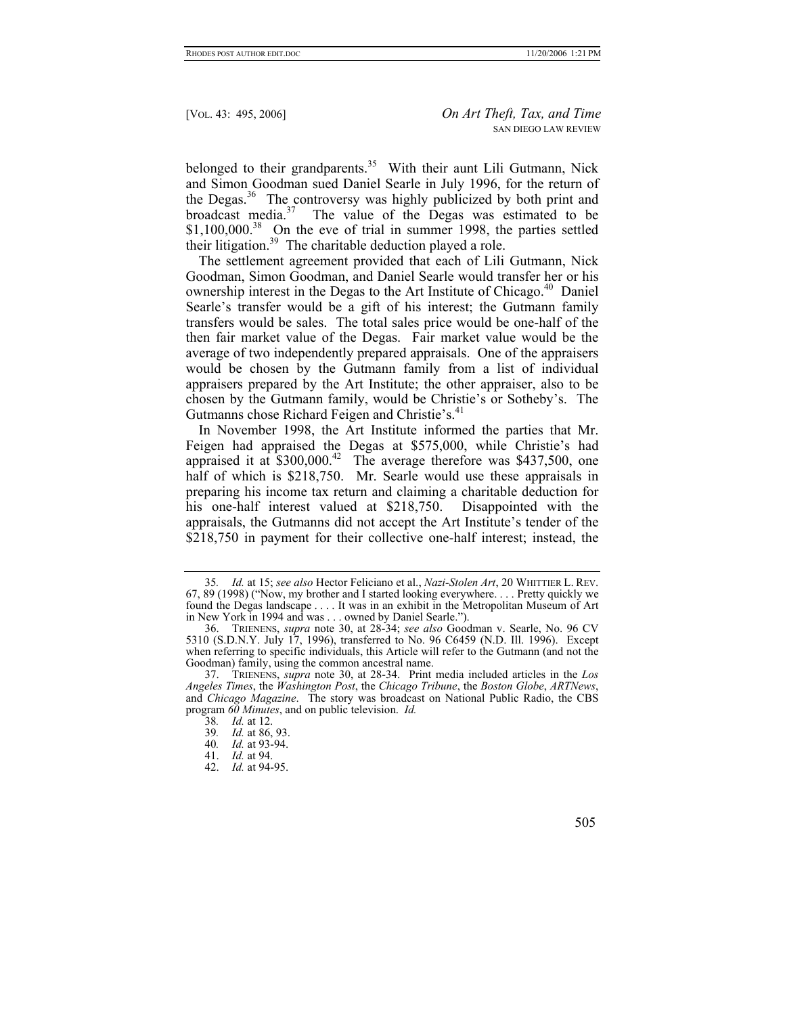belonged to their grandparents.<sup>35</sup> With their aunt Lili Gutmann, Nick and Simon Goodman sued Daniel Searle in July 1996, for the return of the Degas.<sup>36</sup> The controversy was highly publicized by both print and broadcast media.[37](#page-10-2) The value of the Degas was estimated to be  $$1,100,000$ <sup>38</sup> On the eve of trial in summer 1998, the parties settled their litigation.<sup>39</sup> The charitable deduction played a role.

The settlement agreement provided that each of Lili Gutmann, Nick Goodman, Simon Goodman, and Daniel Searle would transfer her or his ownership interest in the Degas to the Art Institute of Chicago.<sup>40</sup> Daniel Searle's transfer would be a gift of his interest; the Gutmann family transfers would be sales. The total sales price would be one-half of the then fair market value of the Degas. Fair market value would be the average of two independently prepared appraisals. One of the appraisers would be chosen by the Gutmann family from a list of individual appraisers prepared by the Art Institute; the other appraiser, also to be chosen by the Gutmann family, would be Christie's or Sotheby's. The Gutmanns chose Richard Feigen and Christie's.<sup>41</sup>

In November 1998, the Art Institute informed the parties that Mr. Feigen had appraised the Degas at \$575,000, while Christie's had appraised it at  $$300,000.<sup>42</sup>$  The average therefore was  $$437,500$ , one half of which is \$218,750. Mr. Searle would use these appraisals in preparing his income tax return and claiming a charitable deduction for his one-half interest valued at \$218,750. Disappointed with the appraisals, the Gutmanns did not accept the Art Institute's tender of the \$218,750 in payment for their collective one-half interest; instead, the

<span id="page-10-0"></span><sup>35</sup>*. Id.* at 15; *see also* Hector Feliciano et al., *Nazi-Stolen Art*, 20 WHITTIER L. REV. 67, 89 (1998) ("Now, my brother and I started looking everywhere. . . . Pretty quickly we found the Degas landscape . . . . It was in an exhibit in the Metropolitan Museum of Art in New York in 1994 and was . . . owned by Daniel Searle.").

<span id="page-10-1"></span><sup>36.</sup> TRIENENS, *supra* note 30, at 28-34; *see also* Goodman v. Searle, No. 96 CV 5310 (S.D.N.Y. July 17, 1996), transferred to No. 96 C6459 (N.D. Ill. 1996). Except when referring to specific individuals, this Article will refer to the Gutmann (and not the Goodman) family, using the common ancestral name.

<span id="page-10-2"></span><sup>37.</sup> TRIENENS, *supra* note 30, at 28-34. Print media included articles in the *Los Angeles Times*, the *Washington Post*, the *Chicago Tribune*, the *Boston Globe*, *ARTNews*, and *Chicago Magazine*. The story was broadcast on National Public Radio, the CBS program *60 Minutes*, and on public television. *Id.*

<span id="page-10-3"></span><sup>38</sup>*. Id.* at 12.

<span id="page-10-4"></span><sup>39</sup>*. Id.* at 86, 93.

<span id="page-10-5"></span><sup>40</sup>*. Id.* at 93-94.

<span id="page-10-6"></span><sup>41.</sup> *Id.* at 94.

<span id="page-10-7"></span><sup>42.</sup> *Id.* at 94-95.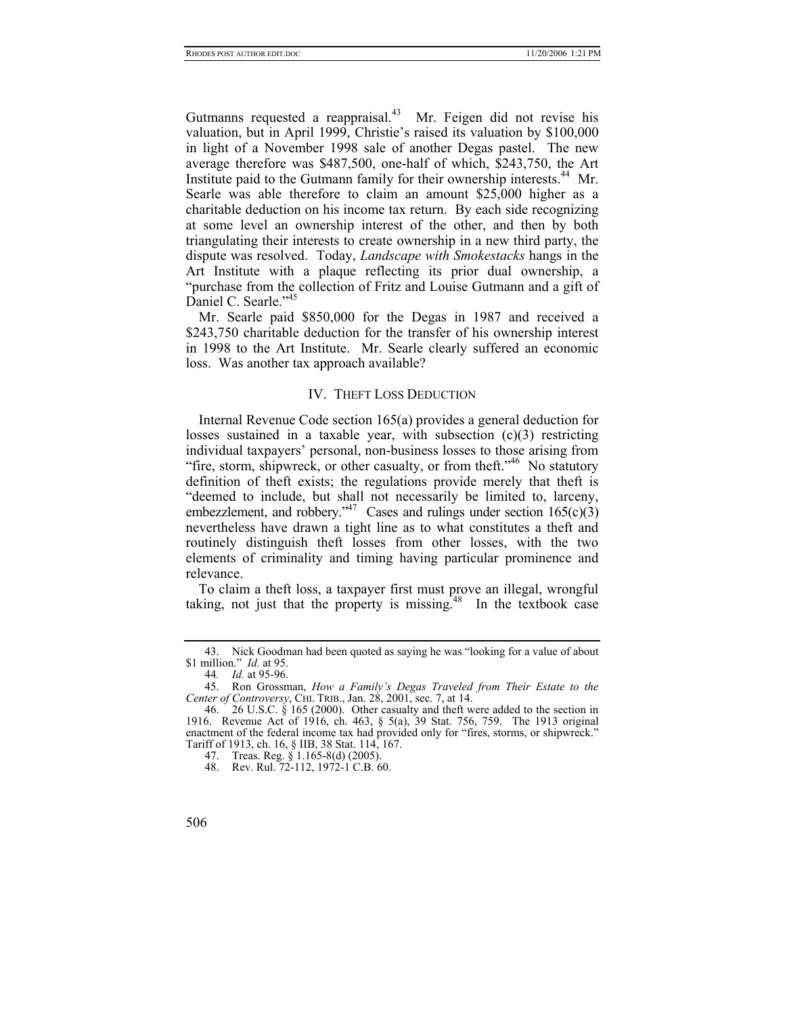Gutmanns requested a reappraisal.<sup>43</sup> Mr. Feigen did not revise his valuation, but in April 1999, Christie's raised its valuation by \$100,000 in light of a November 1998 sale of another Degas pastel. The new average therefore was \$487,500, one-half of which, \$243,750, the Art Institute paid to the Gutmann family for their ownership interests.<sup>44</sup> Mr. Searle was able therefore to claim an amount \$25,000 higher as a charitable deduction on his income tax return. By each side recognizing at some level an ownership interest of the other, and then by both triangulating their interests to create ownership in a new third party, the dispute was resolved. Today, *Landscape with Smokestacks* hangs in the Art Institute with a plaque reflecting its prior dual ownership, a "purchase from the collection of Fritz and Louise Gutmann and a gift of Daniel C. Searle."<sup>[45](#page-11-2)</sup>

Mr. Searle paid \$850,000 for the Degas in 1987 and received a \$243,750 charitable deduction for the transfer of his ownership interest in 1998 to the Art Institute. Mr. Searle clearly suffered an economic loss. Was another tax approach available?

#### IV. THEFT LOSS DEDUCTION

Internal Revenue Code section 165(a) provides a general deduction for losses sustained in a taxable year, with subsection  $(c)(3)$  restricting individual taxpayers' personal, non-business losses to those arising from "fire, storm, shipwreck, or other casualty, or from theft."<sup>46</sup> No statutory definition of theft exists; the regulations provide merely that theft is "deemed to include, but shall not necessarily be limited to, larceny, embezzlement, and robbery.<sup> $3^{47}$ </sup> Cases and rulings under section 165(c)(3) nevertheless have drawn a tight line as to what constitutes a theft and routinely distinguish theft losses from other losses, with the two elements of criminality and timing having particular prominence and relevance.

To claim a theft loss, a taxpayer first must prove an illegal, wrongful taking, not just that the property is missing.<sup>48</sup> In the textbook case

<span id="page-11-0"></span>Nick Goodman had been quoted as saying he was "looking for a value of about \$1 million." *Id.* at 95.

<span id="page-11-2"></span><span id="page-11-1"></span><sup>44</sup>*. Id.* at 95-96.

<sup>45.</sup> Ron Grossman, *How a Family's Degas Traveled from Their Estate to the Center of Controversy*, CHI. TRIB., Jan. 28, 2001, sec. 7, at 14.

<span id="page-11-3"></span><sup>46. 26</sup> U.S.C. § 165 (2000). Other casualty and theft were added to the section in 1916. Revenue Act of 1916, ch. 463, § 5(a), 39 Stat. 756, 759. The 1913 original enactment of the federal income tax had provided only for "fires, storms, or shipwreck." Tariff of 1913, ch. 16, § IIB, 38 Stat. 114, 167.

<span id="page-11-4"></span><sup>47.</sup> Treas. Reg. § 1.165-8(d) (2005).

<span id="page-11-5"></span><sup>48.</sup> Rev. Rul. 72-112, 1972-1 C.B. 60.

<sup>506</sup>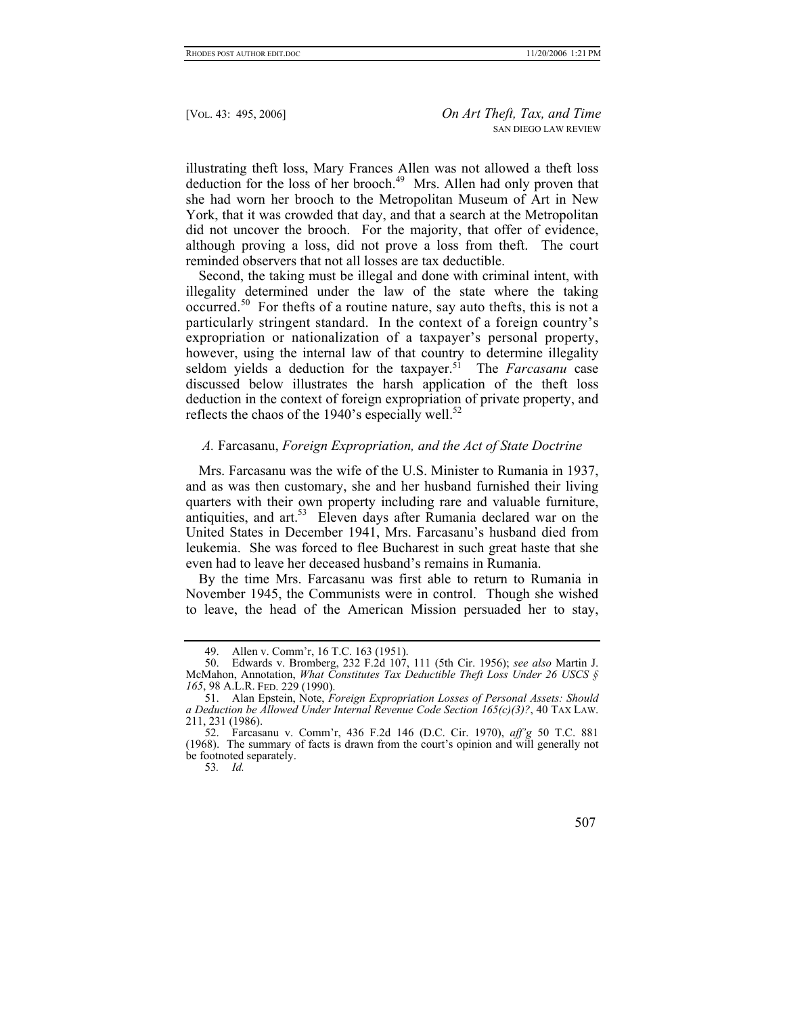illustrating theft loss, Mary Frances Allen was not allowed a theft loss deduction for the loss of her brooch.<sup>49</sup> Mrs. Allen had only proven that she had worn her brooch to the Metropolitan Museum of Art in New York, that it was crowded that day, and that a search at the Metropolitan did not uncover the brooch. For the majority, that offer of evidence, although proving a loss, did not prove a loss from theft. The court reminded observers that not all losses are tax deductible.

Second, the taking must be illegal and done with criminal intent, with illegality determined under the law of the state where the taking occurred.<sup>50</sup> For thefts of a routine nature, say auto thefts, this is not a particularly stringent standard. In the context of a foreign country's expropriation or nationalization of a taxpayer's personal property, however, using the internal law of that country to determine illegality seldom yields a deduction for the taxpayer.<sup>51</sup> The *Farcasanu* case discussed below illustrates the harsh application of the theft loss deduction in the context of foreign expropriation of private property, and reflects the chaos of the 1940's especially well.<sup>52</sup>

#### *A.* Farcasanu, *Foreign Expropriation, and the Act of State Doctrine*

Mrs. Farcasanu was the wife of the U.S. Minister to Rumania in 1937, and as was then customary, she and her husband furnished their living quarters with their own property including rare and valuable furniture, antiquities, and art.<sup>53</sup> Eleven days after Rumania declared war on the United States in December 1941, Mrs. Farcasanu's husband died from leukemia. She was forced to flee Bucharest in such great haste that she even had to leave her deceased husband's remains in Rumania.

By the time Mrs. Farcasanu was first able to return to Rumania in November 1945, the Communists were in control. Though she wished to leave, the head of the American Mission persuaded her to stay,

<span id="page-12-4"></span>53*. Id.*

<span id="page-12-1"></span><span id="page-12-0"></span><sup>49.</sup> Allen v. Comm'r, 16 T.C. 163 (1951).

<sup>50.</sup> Edwards v. Bromberg, 232 F.2d 107, 111 (5th Cir. 1956); *see also* Martin J. McMahon, Annotation, *What Constitutes Tax Deductible Theft Loss Under 26 USCS § 165*, 98 A.L.R. FED. 229 (1990).

<span id="page-12-2"></span><sup>51.</sup> Alan Epstein, Note, *Foreign Expropriation Losses of Personal Assets: Should a Deduction be Allowed Under Internal Revenue Code Section 165(c)(3)?*, 40 TAX LAW. 211, 231 (1986).

<span id="page-12-3"></span><sup>52.</sup> Farcasanu v. Comm'r, 436 F.2d 146 (D.C. Cir. 1970), *aff'g* 50 T.C. 881 (1968). The summary of facts is drawn from the court's opinion and will generally not be footnoted separately.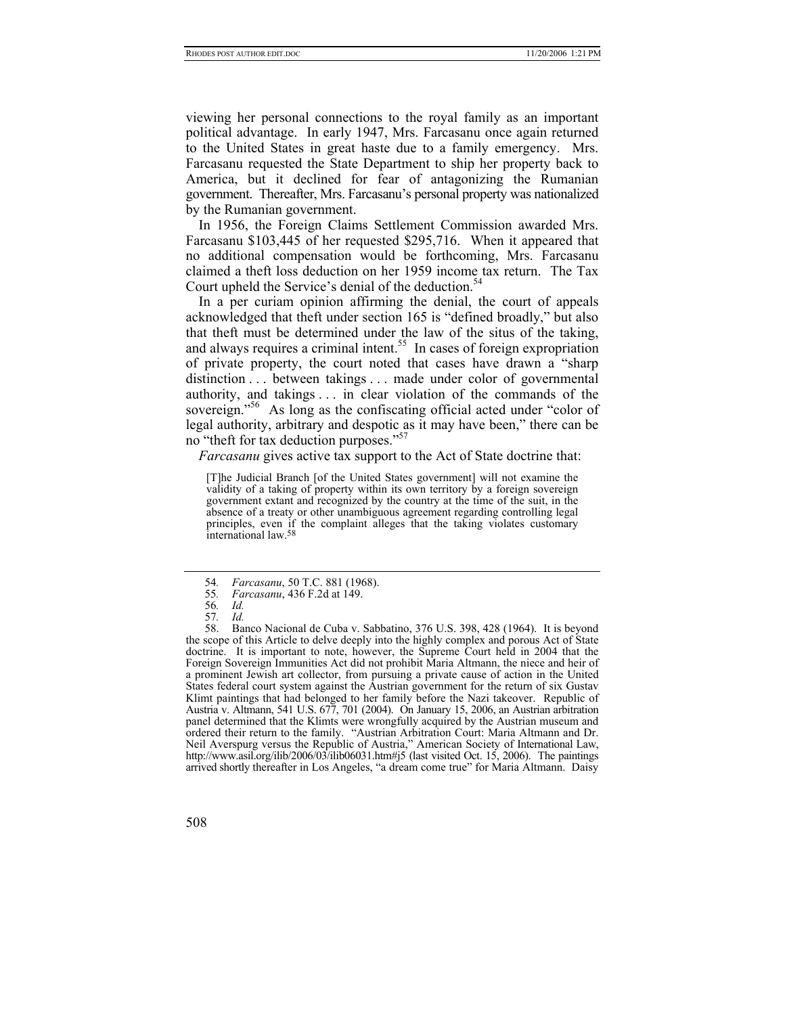viewing her personal connections to the royal family as an important political advantage. In early 1947, Mrs. Farcasanu once again returned to the United States in great haste due to a family emergency. Mrs. Farcasanu requested the State Department to ship her property back to America, but it declined for fear of antagonizing the Rumanian government. Thereafter, Mrs. Farcasanu's personal property was nationalized by the Rumanian government.

In 1956, the Foreign Claims Settlement Commission awarded Mrs. Farcasanu \$103,445 of her requested \$295,716. When it appeared that no additional compensation would be forthcoming, Mrs. Farcasanu claimed a theft loss deduction on her 1959 income tax return. The Tax Court upheld the Service's denial of the deduction.<sup>54</sup>

In a per curiam opinion affirming the denial, the court of appeals acknowledged that theft under section 165 is "defined broadly," but also that theft must be determined under the law of the situs of the taking, and always requires a criminal intent.<sup>55</sup> In cases of foreign expropriation of private property, the court noted that cases have drawn a "sharp distinction . . . between takings . . . made under color of governmental authority, and takings . . . in clear violation of the commands of the sovereign."<sup>56</sup> As long as the confiscating official acted under "color of legal authority, arbitrary and despotic as it may have been," there can be no "theft for tax deduction purposes.["57](#page-13-3)

*Farcasanu* gives active tax support to the Act of State doctrine that:

[T]he Judicial Branch [of the United States government] will not examine the validity of a taking of property within its own territory by a foreign sovereign government extant and recognized by the country at the time of the suit, in the absence of a treaty or other unambiguous agreement regarding controlling legal principles, even if the complaint alleges that the taking violates customary international law[.](#page-13-4)58

<sup>58.</sup> Banco Nacional de Cuba v. Sabbatino, 376 U.S. 398, 428 (1964). It is beyond the scope of this Article to delve deeply into the highly complex and porous Act of State doctrine. It is important to note, however, the Supreme Court held in 2004 that the Foreign Sovereign Immunities Act did not prohibit Maria Altmann, the niece and heir of a prominent Jewish art collector, from pursuing a private cause of action in the United States federal court system against the Austrian government for the return of six Gustav Klimt paintings that had belonged to her family before the Nazi takeover. Republic of Austria v. Altmann, 541 U.S. 677, 701 (2004). On January 15, 2006, an Austrian arbitration panel determined that the Klimts were wrongfully acquired by the Austrian museum and ordered their return to the family. "Austrian Arbitration Court: Maria Altmann and Dr. Neil Averspurg versus the Republic of Austria," American Society of International Law, http://www.asil.org/ilib/2006/03/ilib06031.htm#j5 (last visited Oct. 15, 2006). The paintings arrived shortly thereafter in Los Angeles, "a dream come true" for Maria Altmann. Daisy



<span id="page-13-0"></span><sup>54</sup>*. Farcasanu*, 50 T.C. 881 (1968).

<span id="page-13-1"></span><sup>55</sup>*. Farcasanu*, 436 F.2d at 149.

<span id="page-13-2"></span><sup>56</sup>*. Id.*

<span id="page-13-4"></span><span id="page-13-3"></span><sup>57</sup>*. Id.*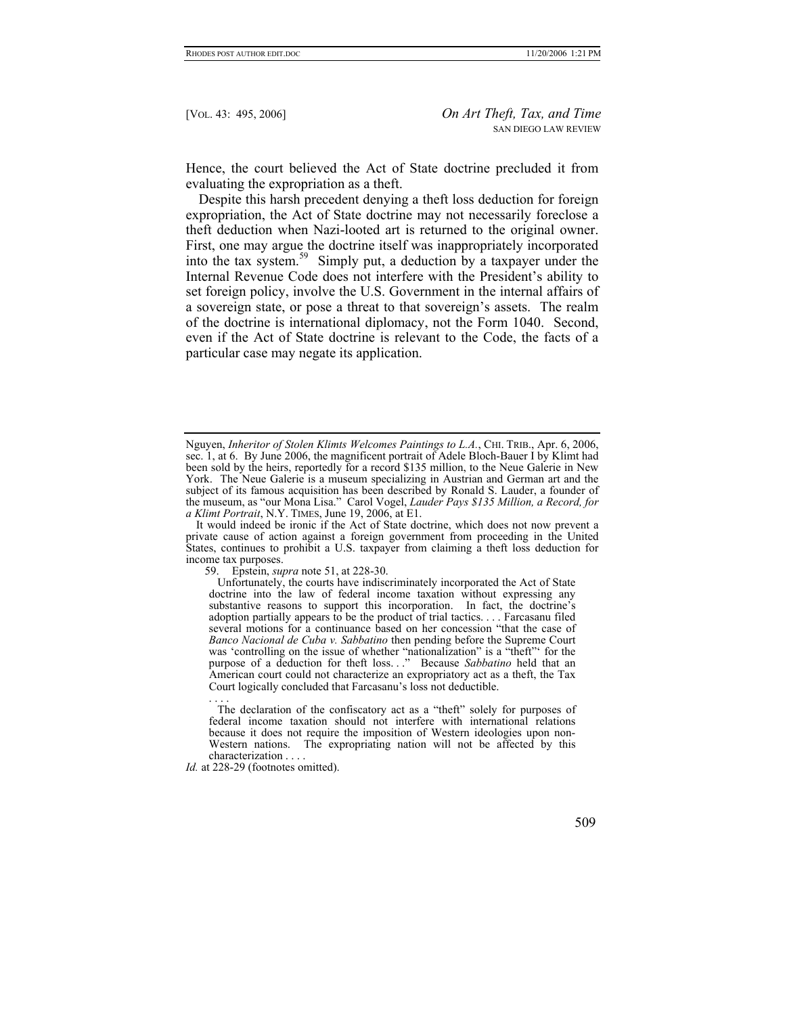Hence, the court believed the Act of State doctrine precluded it from evaluating the expropriation as a theft.

Despite this harsh precedent denying a theft loss deduction for foreign expropriation, the Act of State doctrine may not necessarily foreclose a theft deduction when Nazi-looted art is returned to the original owner. First, one may argue the doctrine itself was inappropriately incorporated into the tax system.<sup>59</sup> Simply put, a deduction by a taxpayer under the Internal Revenue Code does not interfere with the President's ability to set foreign policy, involve the U.S. Government in the internal affairs of a sovereign state, or pose a threat to that sovereign's assets. The realm of the doctrine is international diplomacy, not the Form 1040. Second, even if the Act of State doctrine is relevant to the Code, the facts of a particular case may negate its application.

<span id="page-14-0"></span>59. Epstein, *supra* note 51, at 228-30.

 Unfortunately, the courts have indiscriminately incorporated the Act of State doctrine into the law of federal income taxation without expressing any substantive reasons to support this incorporation. In fact, the doctrine's adoption partially appears to be the product of trial tactics. . . . Farcasanu filed several motions for a continuance based on her concession "that the case of *Banco Nacional de Cuba v. Sabbatino* then pending before the Supreme Court was 'controlling on the issue of whether "nationalization" is a "theft"' for the purpose of a deduction for theft loss. . ." Because *Sabbatino* held that an American court could not characterize an expropriatory act as a theft, the Tax Court logically concluded that Farcasanu's loss not deductible. . . . .

Nguyen, *Inheritor of Stolen Klimts Welcomes Paintings to L.A.*, CHI. TRIB., Apr. 6, 2006, sec. 1, at 6. By June 2006, the magnificent portrait of Adele Bloch-Bauer I by Klimt had been sold by the heirs, reportedly for a record \$135 million, to the Neue Galerie in New York. The Neue Galerie is a museum specializing in Austrian and German art and the subject of its famous acquisition has been described by Ronald S. Lauder, a founder of the museum, as "our Mona Lisa." Carol Vogel, *Lauder Pays \$135 Million, a Record, for a Klimt Portrait*, N.Y. TIMES, June 19, 2006, at E1.

It would indeed be ironic if the Act of State doctrine, which does not now prevent a private cause of action against a foreign government from proceeding in the United States, continues to prohibit a U.S. taxpayer from claiming a theft loss deduction for income tax purposes.

The declaration of the confiscatory act as a "theft" solely for purposes of federal income taxation should not interfere with international relations because it does not require the imposition of Western ideologies upon non-Western nations. The expropriating nation will not be affected by this characterization . . . .

*Id.* at 228-29 (footnotes omitted).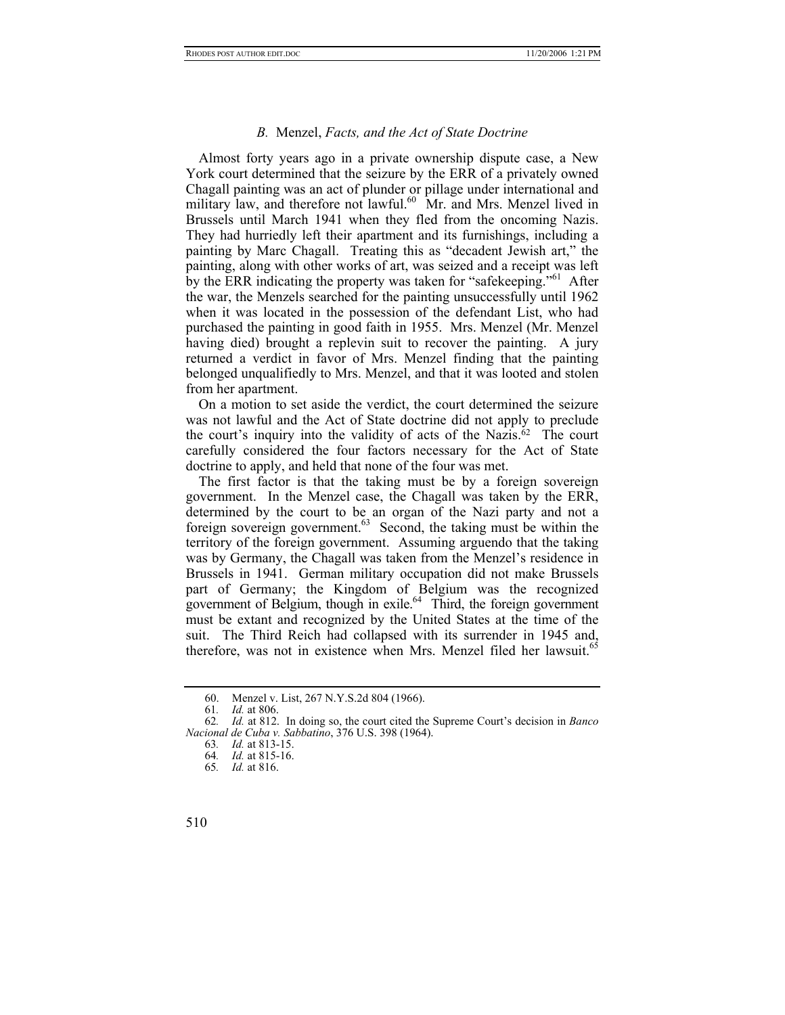## *B.* Menzel, *Facts, and the Act of State Doctrine*

Almost forty years ago in a private ownership dispute case, a New York court determined that the seizure by the ERR of a privately owned Chagall painting was an act of plunder or pillage under international and military law, and therefore not lawful. $60^{6}$  Mr. and Mrs. Menzel lived in Brussels until March 1941 when they fled from the oncoming Nazis. They had hurriedly left their apartment and its furnishings, including a painting by Marc Chagall. Treating this as "decadent Jewish art," the painting, along with other works of art, was seized and a receipt was left by the ERR indicating the property was taken for "safekeeping."<sup>61</sup> After the war, the Menzels searched for the painting unsuccessfully until 1962 when it was located in the possession of the defendant List, who had purchased the painting in good faith in 1955. Mrs. Menzel (Mr. Menzel having died) brought a replevin suit to recover the painting. A jury returned a verdict in favor of Mrs. Menzel finding that the painting belonged unqualifiedly to Mrs. Menzel, and that it was looted and stolen from her apartment.

On a motion to set aside the verdict, the court determined the seizure was not lawful and the Act of State doctrine did not apply to preclude the court's inquiry into the validity of acts of the Nazis.<sup>62</sup> The court carefully considered the four factors necessary for the Act of State doctrine to apply, and held that none of the four was met.

The first factor is that the taking must be by a foreign sovereign government. In the Menzel case, the Chagall was taken by the ERR, determined by the court to be an organ of the Nazi party and not a foreign sovereign government.<sup>63</sup> Second, the taking must be within the territory of the foreign government. Assuming arguendo that the taking was by Germany, the Chagall was taken from the Menzel's residence in Brussels in 1941. German military occupation did not make Brussels part of Germany; the Kingdom of Belgium was the recognized government of Belgium, though in exile. $64$  Third, the foreign government must be extant and recognized by the United States at the time of the suit. The Third Reich had collapsed with its surrender in 1945 and, therefore, was not in existence when Mrs. Menzel filed her lawsuit.<sup>65</sup>



<span id="page-15-0"></span><sup>60.</sup> Menzel v. List, 267 N.Y.S.2d 804 (1966).

<span id="page-15-2"></span><span id="page-15-1"></span><sup>61</sup>*. Id.* at 806.

<sup>62</sup>*. Id.* at 812. In doing so, the court cited the Supreme Court's decision in *Banco Nacional de Cuba v. Sabbatino*, 376 U.S. 398 (1964).

<span id="page-15-3"></span><sup>63</sup>*. Id.* at 813-15.

<span id="page-15-4"></span><sup>64</sup>*. Id.* at 815-16.

<span id="page-15-5"></span><sup>65</sup>*. Id.* at 816.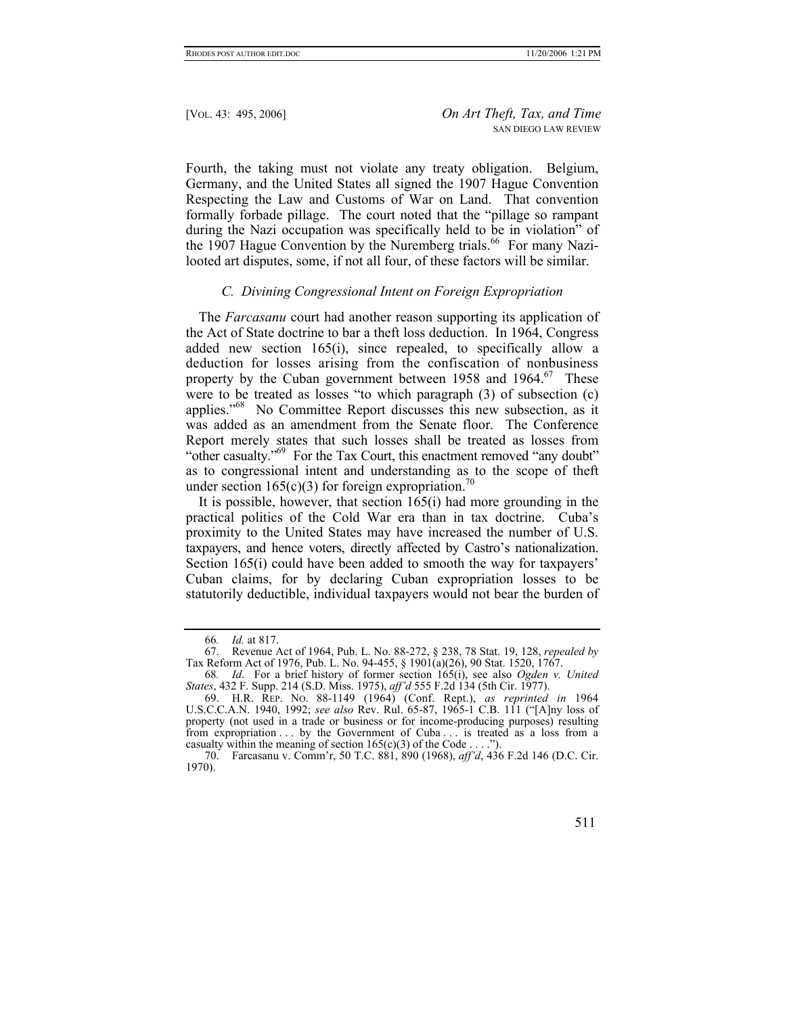Fourth, the taking must not violate any treaty obligation. Belgium, Germany, and the United States all signed the 1907 Hague Convention Respecting the Law and Customs of War on Land. That convention formally forbade pillage. The court noted that the "pillage so rampant during the Nazi occupation was specifically held to be in violation" of the 1907 Hague Convention by the Nuremberg trials.<sup>66</sup> For many Nazilooted art disputes, some, if not all four, of these factors will be similar.

# *C. Divining Congressional Intent on Foreign Expropriation*

The *Farcasanu* court had another reason supporting its application of the Act of State doctrine to bar a theft loss deduction. In 1964, Congress added new section 165(i), since repealed, to specifically allow a deduction for losses arising from the confiscation of nonbusiness property by the Cuban government between 1958 and  $1964$ .<sup>67</sup> These were to be treated as losses "to which paragraph (3) of subsection (c) applies."[68](#page-16-2) No Committee Report discusses this new subsection, as it was added as an amendment from the Senate floor. The Conference Report merely states that such losses shall be treated as losses from "other casualty."<sup>69</sup> For the Tax Court, this enactment removed "any doubt" as to congressional intent and understanding as to the scope of theft under section  $165(c)(3)$  for foreign expropriation.<sup>70</sup>

It is possible, however, that section  $165(i)$  had more grounding in the practical politics of the Cold War era than in tax doctrine. Cuba's proximity to the United States may have increased the number of U.S. taxpayers, and hence voters, directly affected by Castro's nationalization. Section 165(i) could have been added to smooth the way for taxpayers' Cuban claims, for by declaring Cuban expropriation losses to be statutorily deductible, individual taxpayers would not bear the burden of

<span id="page-16-4"></span><sup>70.</sup> Farcasanu v. Comm'r, 50 T.C. 881, 890 (1968), *aff'd*, 436 F.2d 146 (D.C. Cir. 1970).



<span id="page-16-1"></span><span id="page-16-0"></span><sup>66</sup>*. Id.* at 817.

<sup>67.</sup> Revenue Act of 1964, Pub. L. No. 88-272, § 238, 78 Stat. 19, 128, *repealed by*  Tax Reform Act of 1976, Pub. L. No. 94-455, § 1901(a)(26), 90 Stat. 1520, 1767.

<span id="page-16-2"></span><sup>68</sup>*. Id*. For a brief history of former section 165(i), see also *Ogden v. United States*, 432 F. Supp. 214 (S.D. Miss. 1975), *aff'd* 555 F.2d 134 (5th Cir. 1977).

<span id="page-16-3"></span><sup>69.</sup> H.R. REP. NO. 88-1149 (1964) (Conf. Rept.), *as reprinted in* 1964 U.S.C.C.A.N. 1940, 1992; *see also* Rev. Rul. 65-87, 1965-1 C.B. 111 ("[A]ny loss of property (not used in a trade or business or for income-producing purposes) resulting from expropriation . . . by the Government of Cuba . . . is treated as a loss from a casualty within the meaning of section  $165(c)(3)$  of the Code . . . .").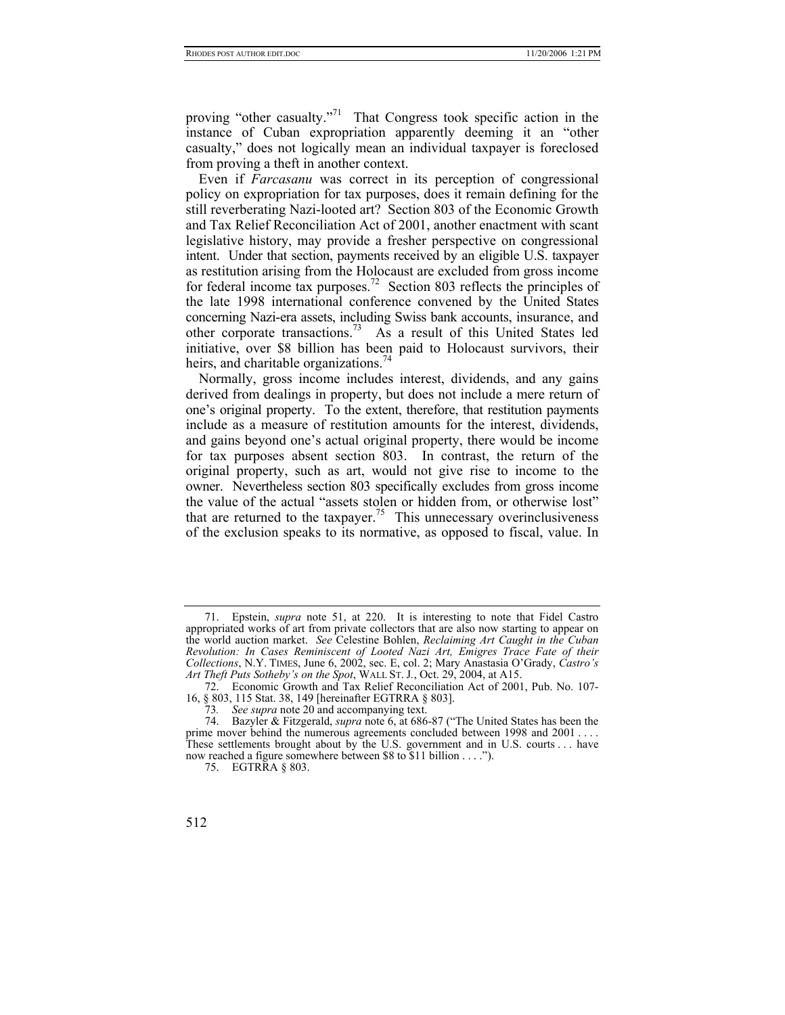proving "other casualty."<sup>71</sup> That Congress took specific action in the instance of Cuban expropriation apparently deeming it an "other casualty," does not logically mean an individual taxpayer is foreclosed from proving a theft in another context.

Even if *Farcasanu* was correct in its perception of congressional policy on expropriation for tax purposes, does it remain defining for the still reverberating Nazi-looted art? Section 803 of the Economic Growth and Tax Relief Reconciliation Act of 2001, another enactment with scant legislative history, may provide a fresher perspective on congressional intent. Under that section, payments received by an eligible U.S. taxpayer as restitution arising from the Holocaust are excluded from gross income for federal income tax purposes.<sup>72</sup> Section 803 reflects the principles of the late 1998 international conference convened by the United States concerning Nazi-era assets, including Swiss bank accounts, insurance, and other corporate transactions.[73](#page-17-2) As a result of this United States led initiative, over \$8 billion has been paid to Holocaust survivors, their heirs, and charitable organizations.<sup>[74](#page-17-3)</sup>

Normally, gross income includes interest, dividends, and any gains derived from dealings in property, but does not include a mere return of one's original property. To the extent, therefore, that restitution payments include as a measure of restitution amounts for the interest, dividends, and gains beyond one's actual original property, there would be income for tax purposes absent section 803. In contrast, the return of the original property, such as art, would not give rise to income to the owner. Nevertheless section 803 specifically excludes from gross income the value of the actual "assets stolen or hidden from, or otherwise lost" that are returned to the taxpayer.<sup>75</sup> This unnecessary overinclusiveness of the exclusion speaks to its normative, as opposed to fiscal, value. In

<span id="page-17-4"></span><sup>75.</sup> EGTRRA § 803.



<span id="page-17-0"></span><sup>71.</sup> Epstein, *supra* note 51, at 220. It is interesting to note that Fidel Castro appropriated works of art from private collectors that are also now starting to appear on the world auction market. *See* Celestine Bohlen, *Reclaiming Art Caught in the Cuban Revolution: In Cases Reminiscent of Looted Nazi Art, Emigres Trace Fate of their Collections*, N.Y. TIMES, June 6, 2002, sec. E, col. 2; Mary Anastasia O'Grady, *Castro's Art Theft Puts Sotheby's on the Spot*, WALL ST. J*.*, Oct. 29, 2004, at A15.

<span id="page-17-1"></span><sup>72.</sup> Economic Growth and Tax Relief Reconciliation Act of 2001, Pub. No. 107- 16, § 803, 115 Stat. 38, 149 [hereinafter EGTRRA § 803].

<span id="page-17-3"></span><span id="page-17-2"></span><sup>73</sup>*. See supra* note 20 and accompanying text.

<sup>74.</sup> Bazyler & Fitzgerald, *supra* note 6, at 686-87 ("The United States has been the prime mover behind the numerous agreements concluded between 1998 and 2001 . . . . These settlements brought about by the U.S. government and in U.S. courts . . . have now reached a figure somewhere between \$8 to \$11 billion . . . .").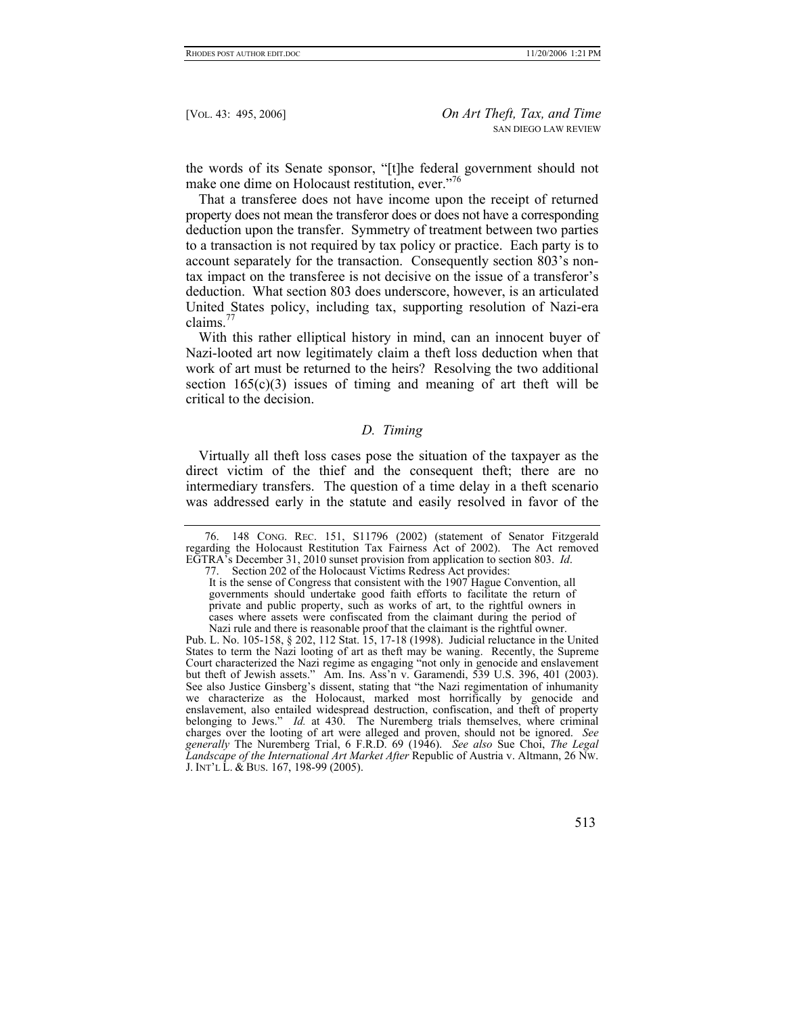the words of its Senate sponsor, "[t]he federal government should not make one dime on Holocaust restitution, ever."<sup>[76](#page-18-0)</sup>

That a transferee does not have income upon the receipt of returned property does not mean the transferor does or does not have a corresponding deduction upon the transfer. Symmetry of treatment between two parties to a transaction is not required by tax policy or practice. Each party is to account separately for the transaction. Consequently section 803's nontax impact on the transferee is not decisive on the issue of a transferor's deduction. What section 803 does underscore, however, is an articulated United States policy, including tax, supporting resolution of Nazi-era claims. $^{77}$  $^{77}$  $^{77}$ 

With this rather elliptical history in mind, can an innocent buyer of Nazi-looted art now legitimately claim a theft loss deduction when that work of art must be returned to the heirs? Resolving the two additional section  $165(c)(3)$  issues of timing and meaning of art theft will be critical to the decision.

#### *D. Timing*

Virtually all theft loss cases pose the situation of the taxpayer as the direct victim of the thief and the consequent theft; there are no intermediary transfers. The question of a time delay in a theft scenario was addressed early in the statute and easily resolved in favor of the

Pub. L. No. 105-158, § 202, 112 Stat. 15, 17-18 (1998). Judicial reluctance in the United States to term the Nazi looting of art as theft may be waning. Recently, the Supreme Court characterized the Nazi regime as engaging "not only in genocide and enslavement but theft of Jewish assets." Am. Ins. Ass'n v. Garamendi, 539 U.S. 396, 401 (2003). See also Justice Ginsberg's dissent, stating that "the Nazi regimentation of inhumanity we characterize as the Holocaust, marked most horrifically by genocide and enslavement, also entailed widespread destruction, confiscation, and theft of property belonging to Jews." *Id.* at 430. The Nuremberg trials themselves, where criminal charges over the looting of art were alleged and proven, should not be ignored. *See generally* The Nuremberg Trial, 6 F.R.D. 69 (1946). *See also* Sue Choi, *The Legal Landscape of the International Art Market After* Republic of Austria v. Altmann, 26 NW. J. INT'L L. & BUS. 167, 198-99 (2005).



<span id="page-18-0"></span><sup>76. 148</sup> CONG. REC. 151, S11796 (2002) (statement of Senator Fitzgerald regarding the Holocaust Restitution Tax Fairness Act of 2002). The Act removed EGTRA's December 31, 2010 sunset provision from application to section 803. *Id*. 77. Section 202 of the Holocaust Victims Redress Act provides:

<span id="page-18-1"></span>It is the sense of Congress that consistent with the 1907 Hague Convention, all governments should undertake good faith efforts to facilitate the return of private and public property, such as works of art, to the rightful owners in cases where assets were confiscated from the claimant during the period of Nazi rule and there is reasonable proof that the claimant is the rightful owner.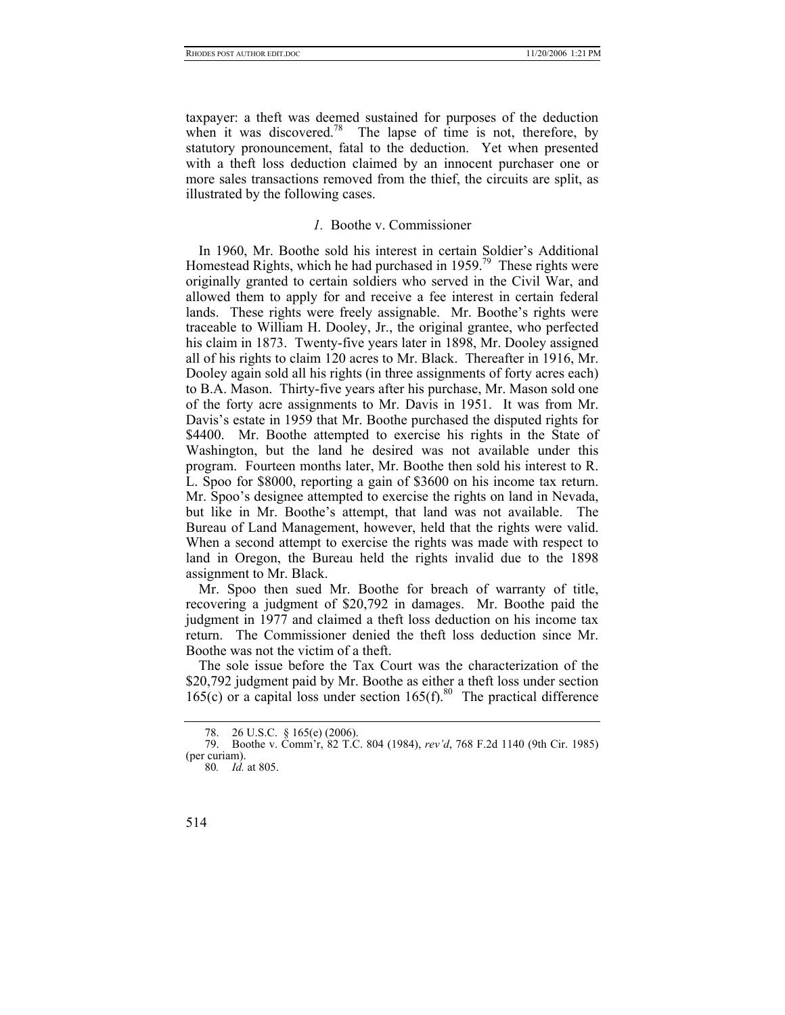taxpayer: a theft was deemed sustained for purposes of the deduction when it was discovered.<sup>78</sup> The lapse of time is not, therefore, by statutory pronouncement, fatal to the deduction. Yet when presented with a theft loss deduction claimed by an innocent purchaser one or more sales transactions removed from the thief, the circuits are split, as illustrated by the following cases.

# *1.* Boothe v. Commissioner

In 1960, Mr. Boothe sold his interest in certain Soldier's Additional Homestead Rights, which he had purchased in 1959.<sup>79</sup> These rights were originally granted to certain soldiers who served in the Civil War, and allowed them to apply for and receive a fee interest in certain federal lands. These rights were freely assignable. Mr. Boothe's rights were traceable to William H. Dooley, Jr., the original grantee, who perfected his claim in 1873. Twenty-five years later in 1898, Mr. Dooley assigned all of his rights to claim 120 acres to Mr. Black. Thereafter in 1916, Mr. Dooley again sold all his rights (in three assignments of forty acres each) to B.A. Mason. Thirty-five years after his purchase, Mr. Mason sold one of the forty acre assignments to Mr. Davis in 1951. It was from Mr. Davis's estate in 1959 that Mr. Boothe purchased the disputed rights for \$4400. Mr. Boothe attempted to exercise his rights in the State of Washington, but the land he desired was not available under this program. Fourteen months later, Mr. Boothe then sold his interest to R. L. Spoo for \$8000, reporting a gain of \$3600 on his income tax return. Mr. Spoo's designee attempted to exercise the rights on land in Nevada, but like in Mr. Boothe's attempt, that land was not available. The Bureau of Land Management, however, held that the rights were valid. When a second attempt to exercise the rights was made with respect to land in Oregon, the Bureau held the rights invalid due to the 1898 assignment to Mr. Black.

Mr. Spoo then sued Mr. Boothe for breach of warranty of title, recovering a judgment of \$20,792 in damages. Mr. Boothe paid the judgment in 1977 and claimed a theft loss deduction on his income tax return. The Commissioner denied the theft loss deduction since Mr. Boothe was not the victim of a theft.

The sole issue before the Tax Court was the characterization of the \$20,792 judgment paid by Mr. Boothe as either a theft loss under section 165(c) or a capital loss under section  $165(f)$ .<sup>80</sup> The practical difference

<span id="page-19-2"></span><sup>80</sup>*. Id.* at 805.



<span id="page-19-1"></span><span id="page-19-0"></span><sup>78. 26</sup> U.S.C. § 165(e) (2006).

<sup>79.</sup> Boothe v. Comm'r, 82 T.C. 804 (1984), *rev'd*, 768 F.2d 1140 (9th Cir. 1985) (per curiam).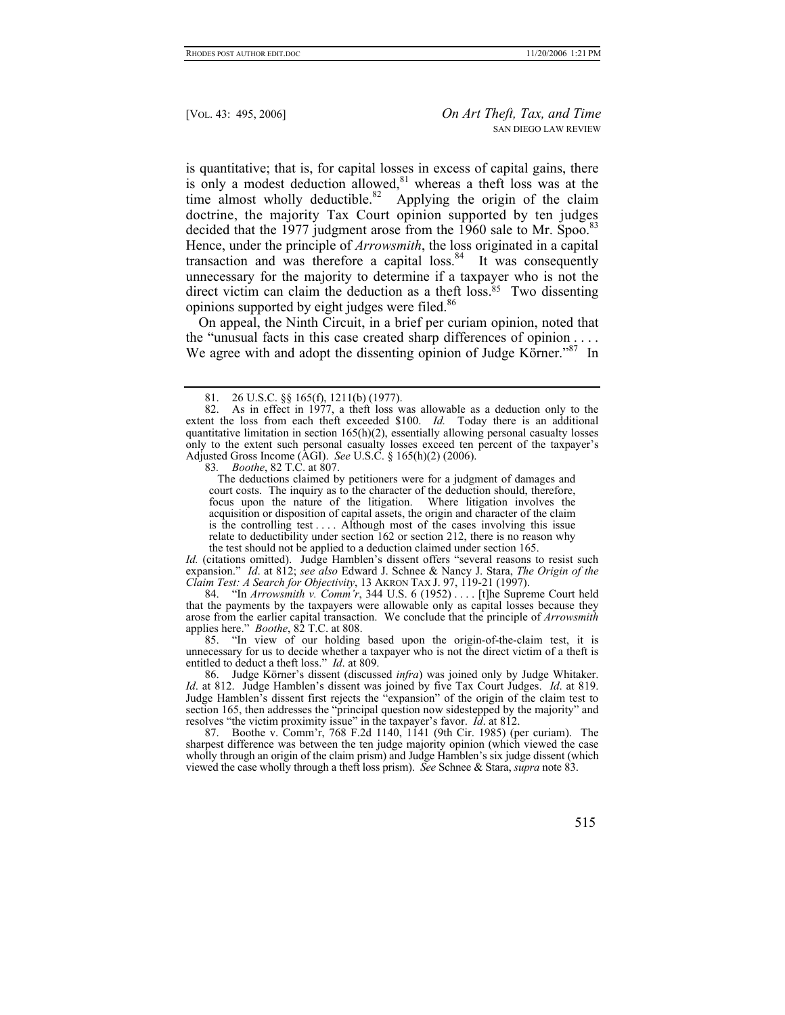is quantitative; that is, for capital losses in excess of capital gains, there is only a modest deduction allowed, $81$  whereas a theft loss was at the time almost wholly deductible. $82$  Applying the origin of the claim doctrine, the majority Tax Court opinion supported by ten judges decided that the 1977 judgment arose from the 1960 sale to Mr. Spoo.<sup>8</sup> Hence, under the principle of *Arrowsmith*, the loss originated in a capital transaction and was therefore a capital loss.<sup>84</sup> It was consequently unnecessary for the majority to determine if a taxpayer who is not the direct victim can claim the deduction as a theft  $loss<sup>85</sup>$  Two dissenting opinions supported by eight judges were filed.<sup>[86](#page-20-5)</sup>

On appeal, the Ninth Circuit, in a brief per curiam opinion, noted that the "unusual facts in this case created sharp differences of opinion .... We agree with and adopt the dissenting opinion of Judge Körner."<sup>87</sup> In

 The deductions claimed by petitioners were for a judgment of damages and court costs. The inquiry as to the character of the deduction should, therefore, focus upon the nature of the litigation. Where litigation involves the acquisition or disposition of capital assets, the origin and character of the claim is the controlling test . . . . Although most of the cases involving this issue relate to deductibility under section 162 or section 212, there is no reason why the test should not be applied to a deduction claimed under section 165.

*Id.* (citations omitted). Judge Hamblen's dissent offers "several reasons to resist such expansion." *Id*. at 812; *see also* Edward J. Schnee & Nancy J. Stara, *The Origin of the Claim Test: A Search for Objectivity*, 13 AKRON TAX J. 97, 119-21 (1997).

<span id="page-20-3"></span>84. "In *Arrowsmith v. Comm'r*, 344 U.S. 6 (1952) . . . . [t]he Supreme Court held that the payments by the taxpayers were allowable only as capital losses because they arose from the earlier capital transaction. We conclude that the principle of *Arrowsmith* applies here." *Boothe*, 82 T.C. at 808.

<span id="page-20-4"></span>85. "In view of our holding based upon the origin-of-the-claim test, it is unnecessary for us to decide whether a taxpayer who is not the direct victim of a theft is entitled to deduct a theft loss." *Id*. at 809.

<span id="page-20-5"></span>86. Judge Körner's dissent (discussed *infra*) was joined only by Judge Whitaker. *Id*. at 812. Judge Hamblen's dissent was joined by five Tax Court Judges. *Id*. at 819. Judge Hamblen's dissent first rejects the "expansion" of the origin of the claim test to section 165, then addresses the "principal question now sidestepped by the majority" and resolves "the victim proximity issue" in the taxpayer's favor. *Id*. at 812.

<span id="page-20-6"></span>87. Boothe v. Comm'r, 768 F.2d 1140, 1141 (9th Cir. 1985) (per curiam). The sharpest difference was between the ten judge majority opinion (which viewed the case wholly through an origin of the claim prism) and Judge Hamblen's six judge dissent (which viewed the case wholly through a theft loss prism). *See* Schnee & Stara, *supra* note 83.

<span id="page-20-1"></span><span id="page-20-0"></span><sup>81. 26</sup> U.S.C. §§ 165(f), 1211(b) (1977).

<sup>82.</sup> As in effect in 1977, a theft loss was allowable as a deduction only to the extent the loss from each theft exceeded \$100. *Id.* Today there is an additional quantitative limitation in section  $165(h)(2)$ , essentially allowing personal casualty losses only to the extent such personal casualty losses exceed ten percent of the taxpayer's Adjusted Gross Income (AGI). *See* U.S.C. § 165(h)(2) (2006).

<span id="page-20-2"></span><sup>83</sup>*. Boothe*, 82 T.C. at 807.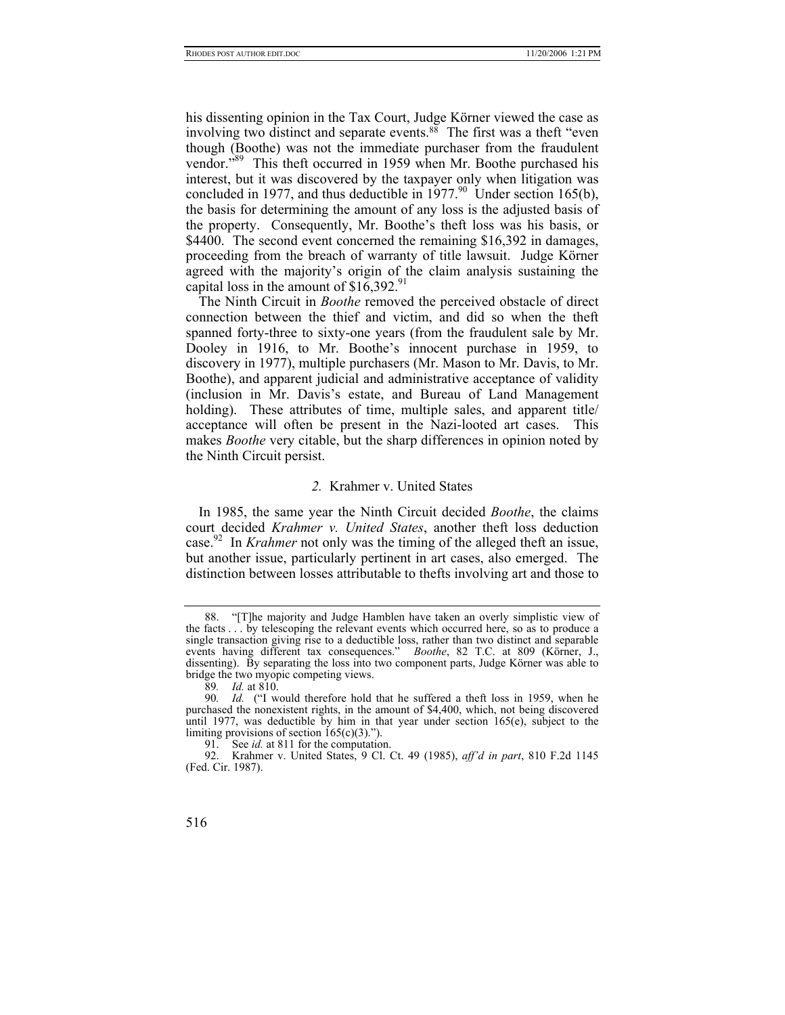his dissenting opinion in the Tax Court, Judge Körner viewed the case as involving two distinct and separate events. $88^{\overline{8}}$  The first was a theft "even though (Boothe) was not the immediate purchaser from the fraudulent vendor.["89](#page-21-1) This theft occurred in 1959 when Mr. Boothe purchased his interest, but it was discovered by the taxpayer only when litigation was concluded in 1977, and thus deductible in  $1977^{90}$  Under section 165(b), the basis for determining the amount of any loss is the adjusted basis of the property. Consequently, Mr. Boothe's theft loss was his basis, or \$4400. The second event concerned the remaining \$16,392 in damages, proceeding from the breach of warranty of title lawsuit. Judge Körner agreed with the majority's origin of the claim analysis sustaining the capital loss in the amount of  $$16,392.<sup>91</sup>$  $$16,392.<sup>91</sup>$  $$16,392.<sup>91</sup>$ 

The Ninth Circuit in *Boothe* removed the perceived obstacle of direct connection between the thief and victim, and did so when the theft spanned forty-three to sixty-one years (from the fraudulent sale by Mr. Dooley in 1916, to Mr. Boothe's innocent purchase in 1959, to discovery in 1977), multiple purchasers (Mr. Mason to Mr. Davis, to Mr. Boothe), and apparent judicial and administrative acceptance of validity (inclusion in Mr. Davis's estate, and Bureau of Land Management holding). These attributes of time, multiple sales, and apparent title/ acceptance will often be present in the Nazi-looted art cases. This makes *Boothe* very citable, but the sharp differences in opinion noted by the Ninth Circuit persist.

#### *2.* Krahmer v. United States

In 1985, the same year the Ninth Circuit decided *Boothe*, the claims court decided *Krahmer v. United States*, another theft loss deduction case.[92](#page-21-4) In *Krahmer* not only was the timing of the alleged theft an issue, but another issue, particularly pertinent in art cases, also emerged. The distinction between losses attributable to thefts involving art and those to

<sup>92.</sup> Krahmer v. United States, 9 Cl. Ct. 49 (1985), *aff'd in part*, 810 F.2d 1145 (Fed. Cir. 1987).



<span id="page-21-0"></span><sup>88. &</sup>quot;[T]he majority and Judge Hamblen have taken an overly simplistic view of the facts . . . by telescoping the relevant events which occurred here, so as to produce a single transaction giving rise to a deductible loss, rather than two distinct and separable events having different tax consequences." *Boothe*, 82 T.C. at 809 (Körner, J., dissenting). By separating the loss into two component parts, Judge Körner was able to bridge the two myopic competing views.

<span id="page-21-2"></span><span id="page-21-1"></span><sup>89</sup>*. Id.* at 810.

<sup>90</sup>*. Id.* ("I would therefore hold that he suffered a theft loss in 1959, when he purchased the nonexistent rights, in the amount of \$4,400, which, not being discovered until 1977, was deductible by him in that year under section 165(e), subject to the limiting provisions of section  $165(c)(3)$ .").<br>91. See *id*. at 811 for the computation

<span id="page-21-4"></span><span id="page-21-3"></span>See *id.* at 811 for the computation.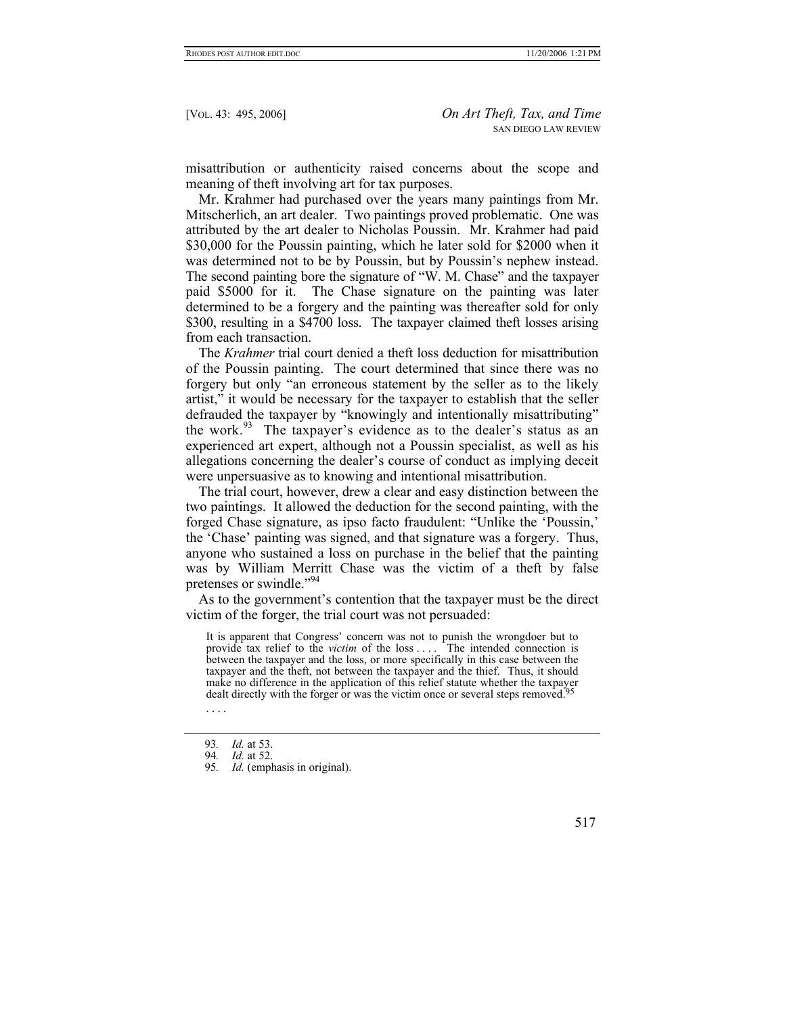misattribution or authenticity raised concerns about the scope and meaning of theft involving art for tax purposes.

Mr. Krahmer had purchased over the years many paintings from Mr. Mitscherlich, an art dealer. Two paintings proved problematic. One was attributed by the art dealer to Nicholas Poussin. Mr. Krahmer had paid \$30,000 for the Poussin painting, which he later sold for \$2000 when it was determined not to be by Poussin, but by Poussin's nephew instead. The second painting bore the signature of "W. M. Chase" and the taxpayer paid \$5000 for it. The Chase signature on the painting was later determined to be a forgery and the painting was thereafter sold for only \$300, resulting in a \$4700 loss. The taxpayer claimed theft losses arising from each transaction.

The *Krahmer* trial court denied a theft loss deduction for misattribution of the Poussin painting. The court determined that since there was no forgery but only "an erroneous statement by the seller as to the likely artist," it would be necessary for the taxpayer to establish that the seller defrauded the taxpayer by "knowingly and intentionally misattributing" the work.<sup>93</sup> The taxpayer's evidence as to the dealer's status as an experienced art expert, although not a Poussin specialist, as well as his allegations concerning the dealer's course of conduct as implying deceit were unpersuasive as to knowing and intentional misattribution.

The trial court, however, drew a clear and easy distinction between the two paintings. It allowed the deduction for the second painting, with the forged Chase signature, as ipso facto fraudulent: "Unlike the 'Poussin,' the 'Chase' painting was signed, and that signature was a forgery. Thus, anyone who sustained a loss on purchase in the belief that the painting was by William Merritt Chase was the victim of a theft by false pretenses or swindle."<sup>94</sup>

As to the government's contention that the taxpayer must be the direct victim of the forger, the trial court was not persuaded:

It is apparent that Congress' concern was not to punish the wrongdoer but to provide tax relief to the *victim* of the loss .... The intended connection is between the taxpayer and the loss, or more specifically in this case between the taxpayer and the theft, not between the taxpayer and the thief. Thus, it should make no difference in the application of this relief statute whether the taxpayer dealt directly with the forger or was the victim once or several steps removed[.](#page-22-2)<sup>95</sup>

. . . .

<sup>95</sup>*. Id.* (emphasis in original).



<span id="page-22-0"></span><sup>93</sup>*. Id.* at 53.

<span id="page-22-2"></span><span id="page-22-1"></span><sup>94</sup>*. Id.* at 52.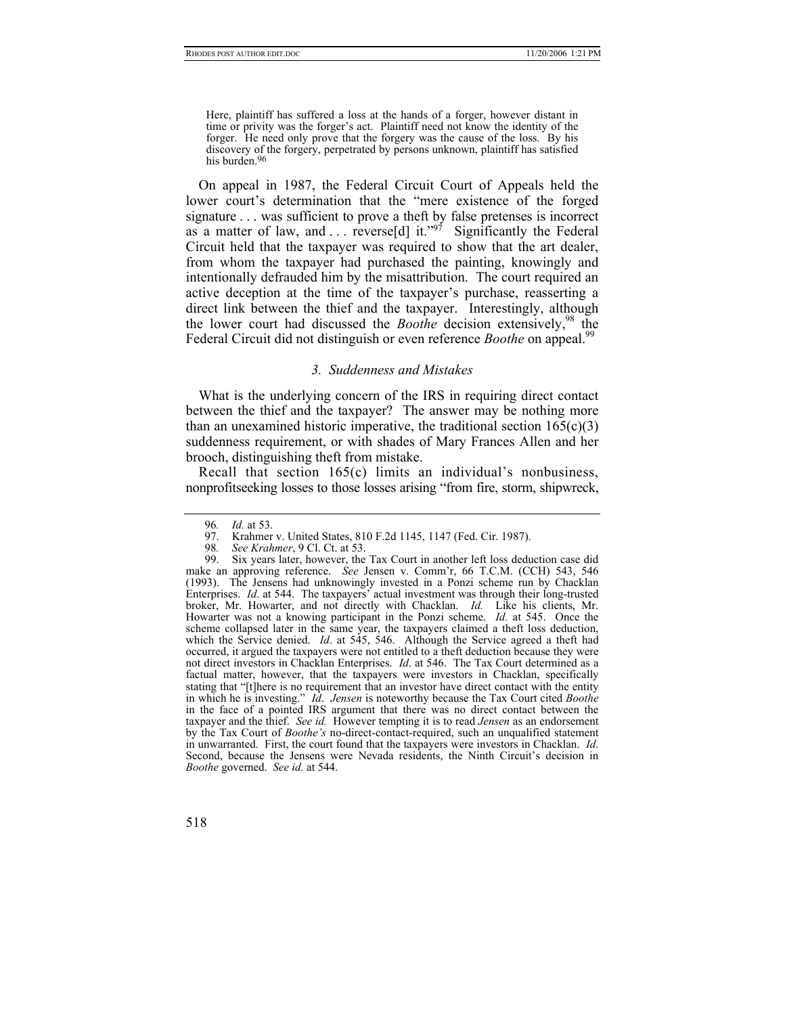Here, plaintiff has suffered a loss at the hands of a forger, however distant in time or privity was the forger's act. Plaintiff need not know the identity of the forger. He need only prove that the forgery was the cause of the loss. By his discovery of the forgery, perpetrated by persons unknown, plaintiff has satisfied his burden.<sup>96</sup>

On appeal in 1987, the Federal Circuit Court of Appeals held the lower court's determination that the "mere existence of the forged signature . . . was sufficient to prove a theft by false pretenses is incorrect as a matter of law, and  $\ldots$  reverse[d] it."<sup>97</sup> Significantly the Federal Circuit held that the taxpayer was required to show that the art dealer, from whom the taxpayer had purchased the painting, knowingly and intentionally defrauded him by the misattribution. The court required an active deception at the time of the taxpayer's purchase, reasserting a direct link between the thief and the taxpayer. Interestingly, although the lower court had discussed the *Boothe* decision extensively,<sup>98</sup> the Federal Circuit did not distinguish or even reference *Boothe* on appeal.<sup>[99](#page-23-3)</sup>

#### *3. Suddenness and Mistakes*

What is the underlying concern of the IRS in requiring direct contact between the thief and the taxpayer? The answer may be nothing more than an unexamined historic imperative, the traditional section  $165(c)(3)$ suddenness requirement, or with shades of Mary Frances Allen and her brooch, distinguishing theft from mistake.

Recall that section 165(c) limits an individual's nonbusiness, nonprofitseeking losses to those losses arising "from fire, storm, shipwreck,

<span id="page-23-0"></span><sup>96</sup>*. Id.* at 53.

<span id="page-23-1"></span><sup>97.</sup> Krahmer v. United States, 810 F.2d 1145, 1147 (Fed. Cir. 1987).<br>98. See Krahmer. 9 Cl. Ct. at 53.

<span id="page-23-3"></span><span id="page-23-2"></span>

<sup>98</sup>*. See Krahmer*, 9 Cl. Ct. at 53. Six years later, however, the Tax Court in another left loss deduction case did make an approving reference. *See* Jensen v. Comm'r, 66 T.C.M. (CCH) 543, 546 (1993). The Jensens had unknowingly invested in a Ponzi scheme run by Chacklan Enterprises. *Id*. at 544. The taxpayers' actual investment was through their long-trusted broker, Mr. Howarter, and not directly with Chacklan. *Id.* Like his clients, Mr. Howarter was not a knowing participant in the Ponzi scheme. *Id.* at 545. Once the scheme collapsed later in the same year, the taxpayers claimed a theft loss deduction, which the Service denied. *Id*. at 545, 546. Although the Service agreed a theft had occurred, it argued the taxpayers were not entitled to a theft deduction because they were not direct investors in Chacklan Enterprises. *Id*. at 546. The Tax Court determined as a factual matter, however, that the taxpayers were investors in Chacklan, specifically stating that "[t]here is no requirement that an investor have direct contact with the entity in which he is investing." *Id*. *Jensen* is noteworthy because the Tax Court cited *Boothe* in the face of a pointed IRS argument that there was no direct contact between the taxpayer and the thief. *See id.* However tempting it is to read *Jensen* as an endorsement by the Tax Court of *Boothe's* no-direct-contact-required, such an unqualified statement in unwarranted. First, the court found that the taxpayers were investors in Chacklan. *Id*. Second, because the Jensens were Nevada residents, the Ninth Circuit's decision in *Boothe* governed. *See id.* at 544.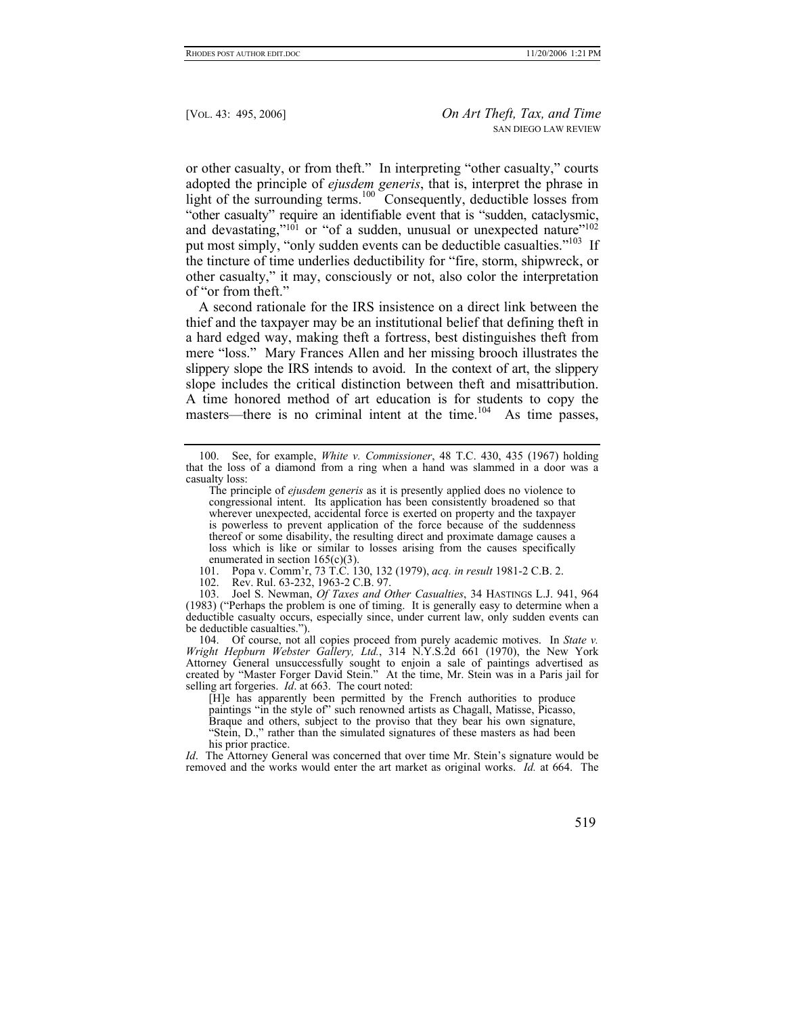or other casualty, or from theft." In interpreting "other casualty," courts adopted the principle of *ejusdem generis*, that is, interpret the phrase in light of the surrounding terms.<sup>100</sup> Consequently, deductible losses from "other casualty" require an identifiable event that is "sudden, cataclysmic, and devastating," $10^{1}$  or "of a sudden, unusual or unexpected nature" $10^{2}$ put most simply, "only sudden events can be deductible casualties."<sup>103</sup> If the tincture of time underlies deductibility for "fire, storm, shipwreck, or other casualty," it may, consciously or not, also color the interpretation of "or from theft."

A second rationale for the IRS insistence on a direct link between the thief and the taxpayer may be an institutional belief that defining theft in a hard edged way, making theft a fortress, best distinguishes theft from mere "loss." Mary Frances Allen and her missing brooch illustrates the slippery slope the IRS intends to avoid. In the context of art, the slippery slope includes the critical distinction between theft and misattribution. A time honored method of art education is for students to copy the masters—there is no criminal intent at the time.<sup>104</sup> As time passes,

<span id="page-24-1"></span>101. Popa v. Comm'r, 73 T.C. 130, 132 (1979), *acq. in result* 1981-2 C.B. 2.

<span id="page-24-3"></span><span id="page-24-2"></span>102. Rev. Rul. 63-232, 1963-2 C.B. 97.

103. Joel S. Newman, *Of Taxes and Other Casualties*, 34 HASTINGS L.J. 941, 964 (1983) ("Perhaps the problem is one of timing. It is generally easy to determine when a deductible casualty occurs, especially since, under current law, only sudden events can be deductible casualties.").

<span id="page-24-4"></span>104. Of course, not all copies proceed from purely academic motives. In *State v. Wright Hepburn Webster Gallery, Ltd.*, 314 N.Y.S.2d 661 (1970), the New York Attorney General unsuccessfully sought to enjoin a sale of paintings advertised as created by "Master Forger David Stein." At the time, Mr. Stein was in a Paris jail for selling art forgeries. *Id*. at 663. The court noted:

[H]e has apparently been permitted by the French authorities to produce paintings "in the style of" such renowned artists as Chagall, Matisse, Picasso, Braque and others, subject to the proviso that they bear his own signature, "Stein, D.," rather than the simulated signatures of these masters as had been his prior practice.

*Id.* The Attorney General was concerned that over time Mr. Stein's signature would be removed and the works would enter the art market as original works. *Id.* at 664. The

<span id="page-24-0"></span><sup>100.</sup> See, for example, *White v. Commissioner*, 48 T.C. 430, 435 (1967) holding that the loss of a diamond from a ring when a hand was slammed in a door was a casualty loss:

The principle of *ejusdem generis* as it is presently applied does no violence to congressional intent. Its application has been consistently broadened so that wherever unexpected, accidental force is exerted on property and the taxpayer is powerless to prevent application of the force because of the suddenness thereof or some disability, the resulting direct and proximate damage causes a loss which is like or similar to losses arising from the causes specifically enumerated in section 165(c)(3).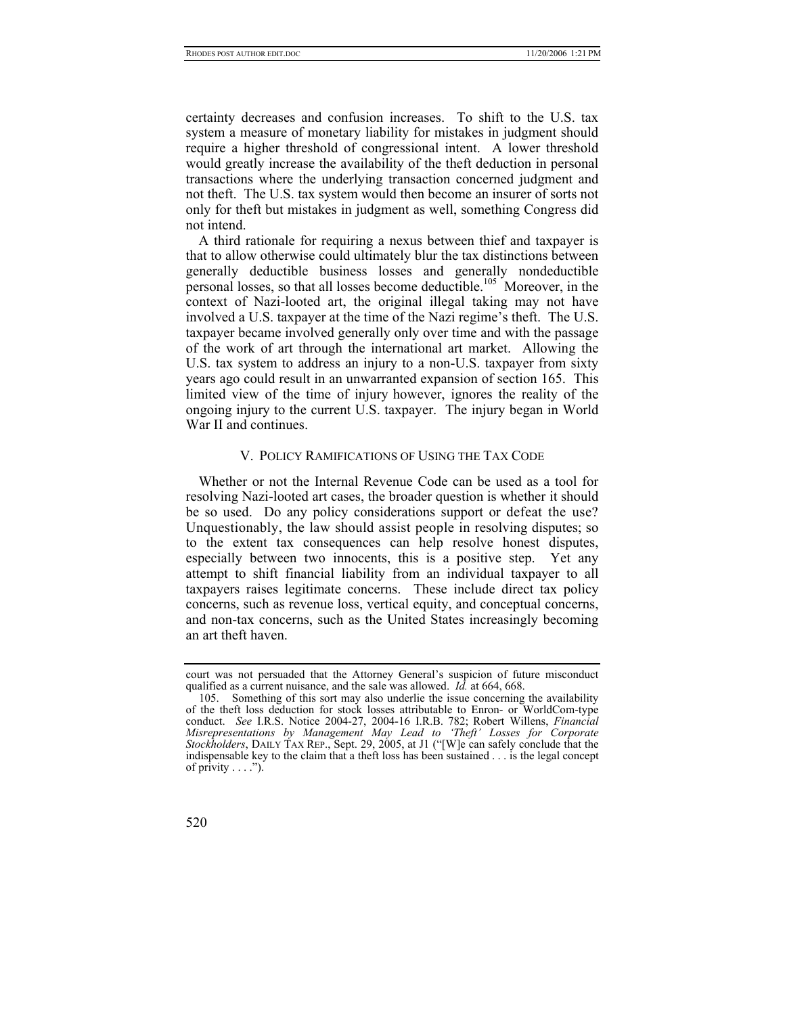certainty decreases and confusion increases. To shift to the U.S. tax system a measure of monetary liability for mistakes in judgment should require a higher threshold of congressional intent. A lower threshold would greatly increase the availability of the theft deduction in personal transactions where the underlying transaction concerned judgment and not theft. The U.S. tax system would then become an insurer of sorts not only for theft but mistakes in judgment as well, something Congress did not intend.

A third rationale for requiring a nexus between thief and taxpayer is that to allow otherwise could ultimately blur the tax distinctions between generally deductible business losses and generally nondeductible personal losses, so that all losses become deductible[.105](#page-25-0) Moreover, in the context of Nazi-looted art, the original illegal taking may not have involved a U.S. taxpayer at the time of the Nazi regime's theft. The U.S. taxpayer became involved generally only over time and with the passage of the work of art through the international art market. Allowing the U.S. tax system to address an injury to a non-U.S. taxpayer from sixty years ago could result in an unwarranted expansion of section 165. This limited view of the time of injury however, ignores the reality of the ongoing injury to the current U.S. taxpayer. The injury began in World War II and continues.

#### V. POLICY RAMIFICATIONS OF USING THE TAX CODE

Whether or not the Internal Revenue Code can be used as a tool for resolving Nazi-looted art cases, the broader question is whether it should be so used. Do any policy considerations support or defeat the use? Unquestionably, the law should assist people in resolving disputes; so to the extent tax consequences can help resolve honest disputes, especially between two innocents, this is a positive step. Yet any attempt to shift financial liability from an individual taxpayer to all taxpayers raises legitimate concerns. These include direct tax policy concerns, such as revenue loss, vertical equity, and conceptual concerns, and non-tax concerns, such as the United States increasingly becoming an art theft haven.

<span id="page-25-0"></span><sup>105.</sup> Something of this sort may also underlie the issue concerning the availability of the theft loss deduction for stock losses attributable to Enron- or WorldCom-type conduct. *See* I.R.S. Notice 2004-27, 2004-16 I.R.B. 782; Robert Willens, *Financial Misrepresentations by Management May Lead to 'Theft' Losses for Corporate Stockholders*, DAILY TAX REP., Sept. 29, 2005, at J1 ("[W]e can safely conclude that the indispensable key to the claim that a theft loss has been sustained . . . is the legal concept of privity  $\dots$ .").



court was not persuaded that the Attorney General's suspicion of future misconduct qualified as a current nuisance, and the sale was allowed. *Id.* at 664, 668.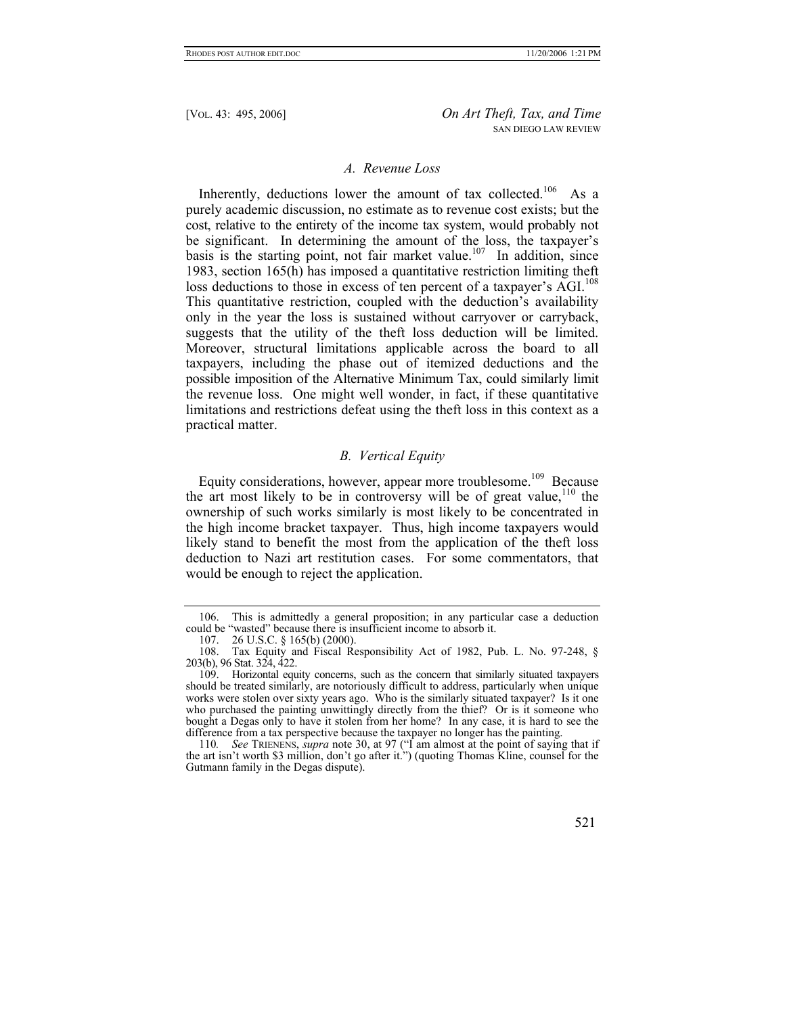# *A. Revenue Loss*

Inherently, deductions lower the amount of tax collected.<sup>106</sup> As a purely academic discussion, no estimate as to revenue cost exists; but the cost, relative to the entirety of the income tax system, would probably not be significant. In determining the amount of the loss, the taxpayer's basis is the starting point, not fair market value.<sup>107</sup> In addition, since 1983, section 165(h) has imposed a quantitative restriction limiting theft loss deductions to those in excess of ten percent of a taxpayer's AGI.<sup>108</sup> This quantitative restriction, coupled with the deduction's availability only in the year the loss is sustained without carryover or carryback, suggests that the utility of the theft loss deduction will be limited. Moreover, structural limitations applicable across the board to all taxpayers, including the phase out of itemized deductions and the possible imposition of the Alternative Minimum Tax, could similarly limit the revenue loss. One might well wonder, in fact, if these quantitative limitations and restrictions defeat using the theft loss in this context as a practical matter.

# *B. Vertical Equity*

Equity considerations, however, appear more troublesome.<sup>109</sup> Because the art most likely to be in controversy will be of great value,  $110$  the ownership of such works similarly is most likely to be concentrated in the high income bracket taxpayer. Thus, high income taxpayers would likely stand to benefit the most from the application of the theft loss deduction to Nazi art restitution cases. For some commentators, that would be enough to reject the application.

<span id="page-26-4"></span><sup>110</sup>*. See* TRIENENS, *supra* note 30, at 97 ("I am almost at the point of saying that if the art isn't worth \$3 million, don't go after it.") (quoting Thomas Kline, counsel for the Gutmann family in the Degas dispute).



<span id="page-26-0"></span><sup>106.</sup> This is admittedly a general proposition; in any particular case a deduction could be "wasted" because there is insufficient income to absorb it.

<span id="page-26-2"></span><span id="page-26-1"></span><sup>107. 26</sup> U.S.C. § 165(b) (2000).

<sup>108.</sup> Tax Equity and Fiscal Responsibility Act of 1982, Pub. L. No. 97-248, § 203(b), 96 Stat. 324, 422.

<span id="page-26-3"></span><sup>109.</sup> Horizontal equity concerns, such as the concern that similarly situated taxpayers should be treated similarly, are notoriously difficult to address, particularly when unique works were stolen over sixty years ago. Who is the similarly situated taxpayer? Is it one who purchased the painting unwittingly directly from the thief? Or is it someone who bought a Degas only to have it stolen from her home? In any case, it is hard to see the difference from a tax perspective because the taxpayer no longer has the painting.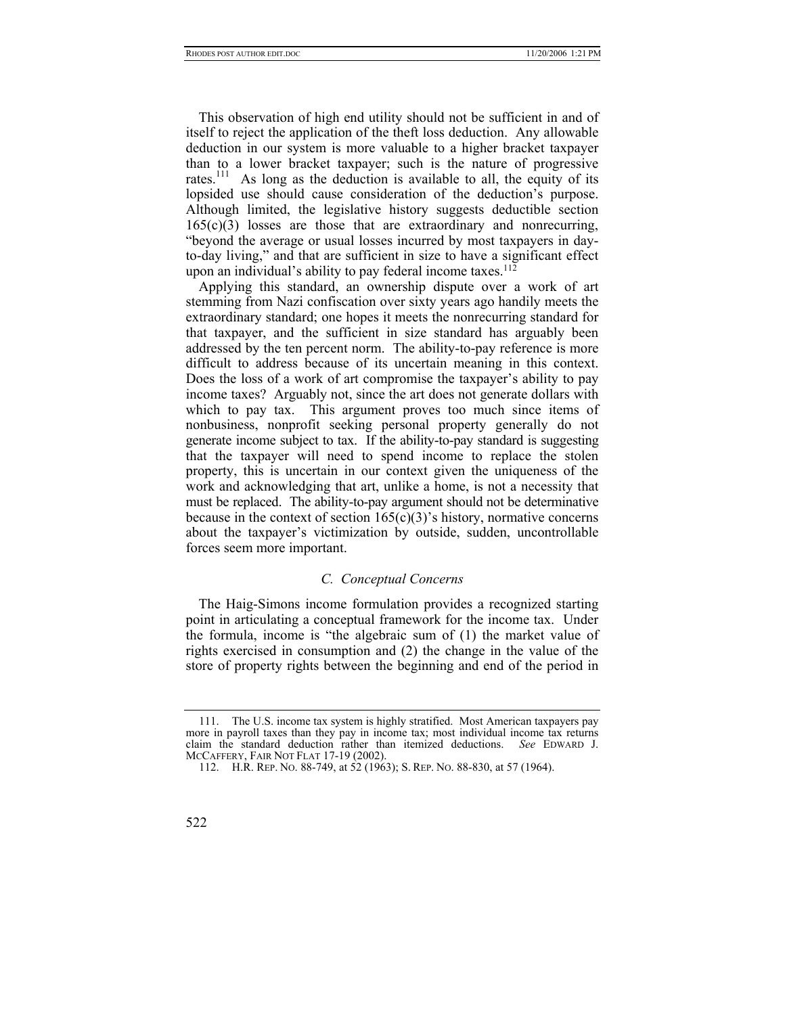This observation of high end utility should not be sufficient in and of itself to reject the application of the theft loss deduction. Any allowable deduction in our system is more valuable to a higher bracket taxpayer than to a lower bracket taxpayer; such is the nature of progressive rates.<sup>111</sup> As long as the deduction is available to all, the equity of its lopsided use should cause consideration of the deduction's purpose. Although limited, the legislative history suggests deductible section 165(c)(3) losses are those that are extraordinary and nonrecurring, "beyond the average or usual losses incurred by most taxpayers in dayto-day living," and that are sufficient in size to have a significant effect upon an individual's ability to pay federal income taxes.<sup>112</sup>

Applying this standard, an ownership dispute over a work of art stemming from Nazi confiscation over sixty years ago handily meets the extraordinary standard; one hopes it meets the nonrecurring standard for that taxpayer, and the sufficient in size standard has arguably been addressed by the ten percent norm. The ability-to-pay reference is more difficult to address because of its uncertain meaning in this context. Does the loss of a work of art compromise the taxpayer's ability to pay income taxes? Arguably not, since the art does not generate dollars with which to pay tax. This argument proves too much since items of nonbusiness, nonprofit seeking personal property generally do not generate income subject to tax. If the ability-to-pay standard is suggesting that the taxpayer will need to spend income to replace the stolen property, this is uncertain in our context given the uniqueness of the work and acknowledging that art, unlike a home, is not a necessity that must be replaced. The ability-to-pay argument should not be determinative because in the context of section  $165(c)(3)$ 's history, normative concerns about the taxpayer's victimization by outside, sudden, uncontrollable forces seem more important.

# *C. Conceptual Concerns*

The Haig-Simons income formulation provides a recognized starting point in articulating a conceptual framework for the income tax. Under the formula, income is "the algebraic sum of (1) the market value of rights exercised in consumption and (2) the change in the value of the store of property rights between the beginning and end of the period in

<span id="page-27-0"></span><sup>111.</sup> The U.S. income tax system is highly stratified. Most American taxpayers pay more in payroll taxes than they pay in income tax; most individual income tax returns claim the standard deduction rather than itemized deductions. *See* EDWARD J. MCCAFFERY, FAIR NOT FLAT 17-19 (2002).

<span id="page-27-1"></span><sup>112.</sup> H.R. REP. NO. 88-749, at 52 (1963); S. REP. NO. 88-830, at 57 (1964).

<sup>522</sup>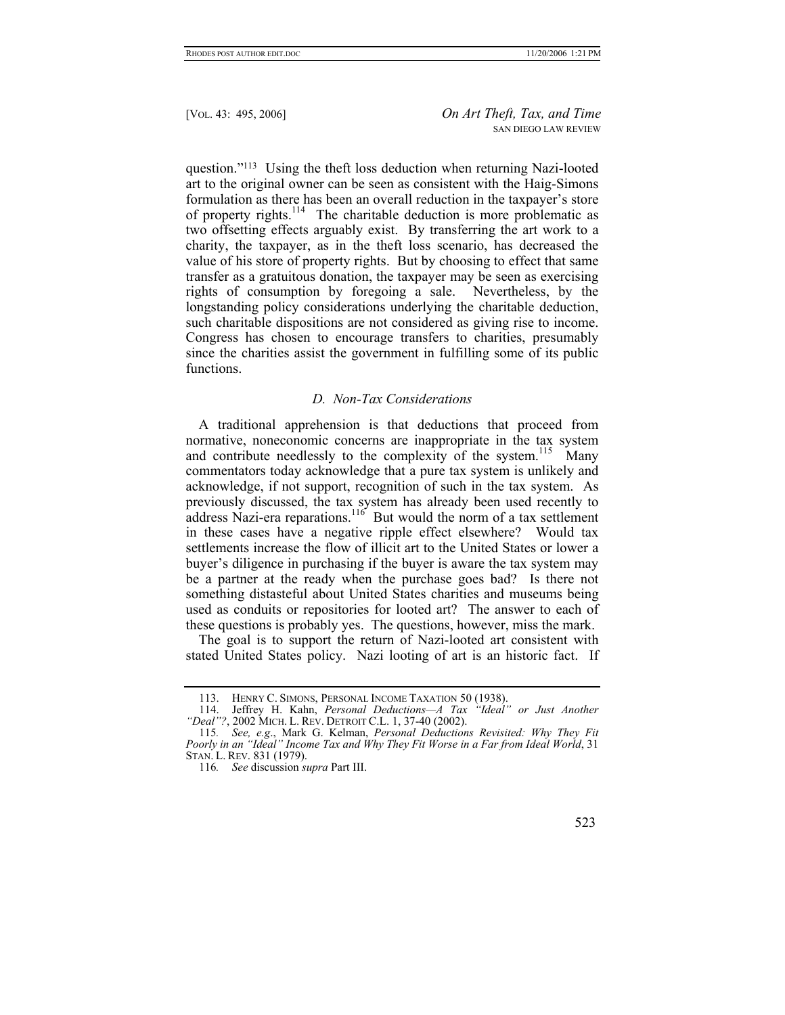question."<sup>113</sup> Using the theft loss deduction when returning Nazi-looted art to the original owner can be seen as consistent with the Haig-Simons formulation as there has been an overall reduction in the taxpayer's store of property rights.<sup>114</sup> The charitable deduction is more problematic as two offsetting effects arguably exist. By transferring the art work to a charity, the taxpayer, as in the theft loss scenario, has decreased the value of his store of property rights. But by choosing to effect that same transfer as a gratuitous donation, the taxpayer may be seen as exercising rights of consumption by foregoing a sale. Nevertheless, by the longstanding policy considerations underlying the charitable deduction, such charitable dispositions are not considered as giving rise to income. Congress has chosen to encourage transfers to charities, presumably since the charities assist the government in fulfilling some of its public functions.

#### *D. Non-Tax Considerations*

A traditional apprehension is that deductions that proceed from normative, noneconomic concerns are inappropriate in the tax system and contribute needlessly to the complexity of the system.<sup>115</sup> Many commentators today acknowledge that a pure tax system is unlikely and acknowledge, if not support, recognition of such in the tax system. As previously discussed, the tax system has already been used recently to address Nazi-era reparations.<sup>116</sup> But would the norm of a tax settlement in these cases have a negative ripple effect elsewhere? Would tax settlements increase the flow of illicit art to the United States or lower a buyer's diligence in purchasing if the buyer is aware the tax system may be a partner at the ready when the purchase goes bad? Is there not something distasteful about United States charities and museums being used as conduits or repositories for looted art? The answer to each of these questions is probably yes. The questions, however, miss the mark.

The goal is to support the return of Nazi-looted art consistent with stated United States policy. Nazi looting of art is an historic fact. If

<span id="page-28-3"></span><sup>116</sup>*. See* discussion *supra* Part III.



<span id="page-28-1"></span><span id="page-28-0"></span><sup>113.</sup> HENRY C. SIMONS, PERSONAL INCOME TAXATION 50 (1938).

<sup>114.</sup> Jeffrey H. Kahn, *Personal Deductions—A Tax "Ideal" or Just Another "Deal"?*, 2002 MICH. L. REV. DETROIT C.L. 1, 37-40 (2002).

<span id="page-28-2"></span><sup>115</sup>*. See, e.g*., Mark G. Kelman, *Personal Deductions Revisited: Why They Fit Poorly in an "Ideal" Income Tax and Why They Fit Worse in a Far from Ideal World*, 31 STAN. L. REV. 831 (1979).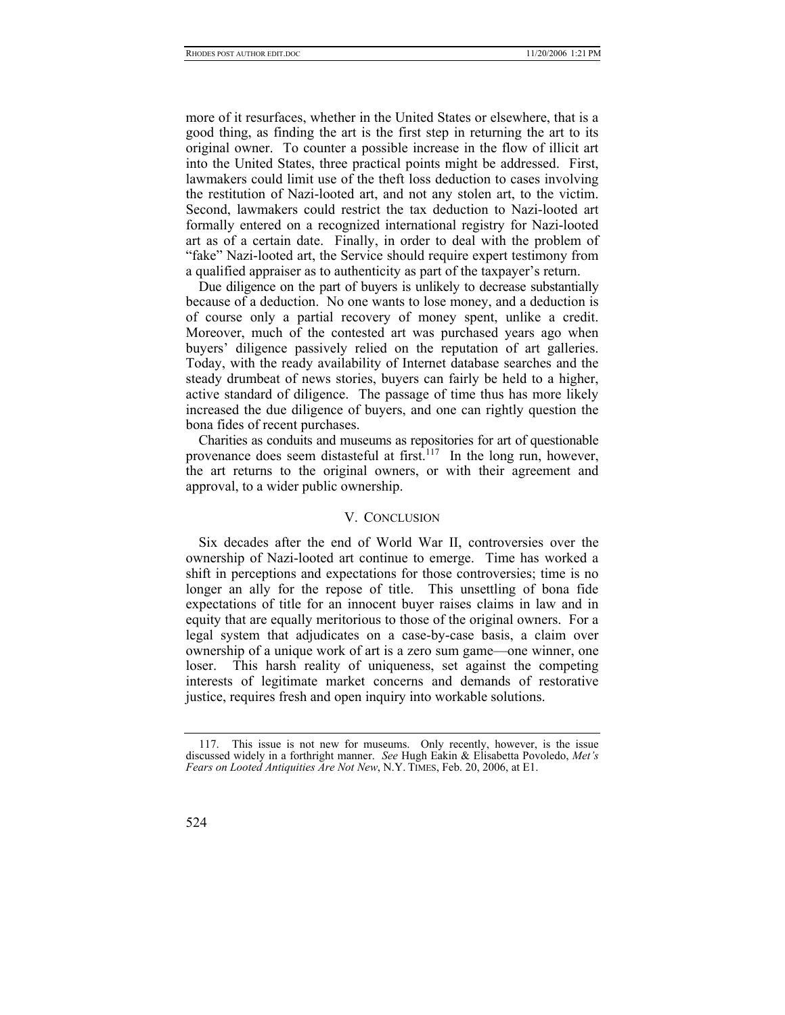more of it resurfaces, whether in the United States or elsewhere, that is a good thing, as finding the art is the first step in returning the art to its original owner. To counter a possible increase in the flow of illicit art into the United States, three practical points might be addressed. First, lawmakers could limit use of the theft loss deduction to cases involving the restitution of Nazi-looted art, and not any stolen art, to the victim. Second, lawmakers could restrict the tax deduction to Nazi-looted art formally entered on a recognized international registry for Nazi-looted art as of a certain date. Finally, in order to deal with the problem of "fake" Nazi-looted art, the Service should require expert testimony from a qualified appraiser as to authenticity as part of the taxpayer's return.

Due diligence on the part of buyers is unlikely to decrease substantially because of a deduction. No one wants to lose money, and a deduction is of course only a partial recovery of money spent, unlike a credit. Moreover, much of the contested art was purchased years ago when buyers' diligence passively relied on the reputation of art galleries. Today, with the ready availability of Internet database searches and the steady drumbeat of news stories, buyers can fairly be held to a higher, active standard of diligence. The passage of time thus has more likely increased the due diligence of buyers, and one can rightly question the bona fides of recent purchases.

Charities as conduits and museums as repositories for art of questionable provenance does seem distasteful at first.<sup>117</sup> In the long run, however, the art returns to the original owners, or with their agreement and approval, to a wider public ownership.

# V. CONCLUSION

Six decades after the end of World War II, controversies over the ownership of Nazi-looted art continue to emerge. Time has worked a shift in perceptions and expectations for those controversies; time is no longer an ally for the repose of title. This unsettling of bona fide expectations of title for an innocent buyer raises claims in law and in equity that are equally meritorious to those of the original owners. For a legal system that adjudicates on a case-by-case basis, a claim over ownership of a unique work of art is a zero sum game—one winner, one loser. This harsh reality of uniqueness, set against the competing interests of legitimate market concerns and demands of restorative justice, requires fresh and open inquiry into workable solutions.

<span id="page-29-0"></span><sup>117.</sup> This issue is not new for museums. Only recently, however, is the issue discussed widely in a forthright manner. *See* Hugh Eakin & Elisabetta Povoledo, *Met's Fears on Looted Antiquities Are Not New*, N.Y. TIMES, Feb. 20, 2006, at E1.

<sup>524</sup>